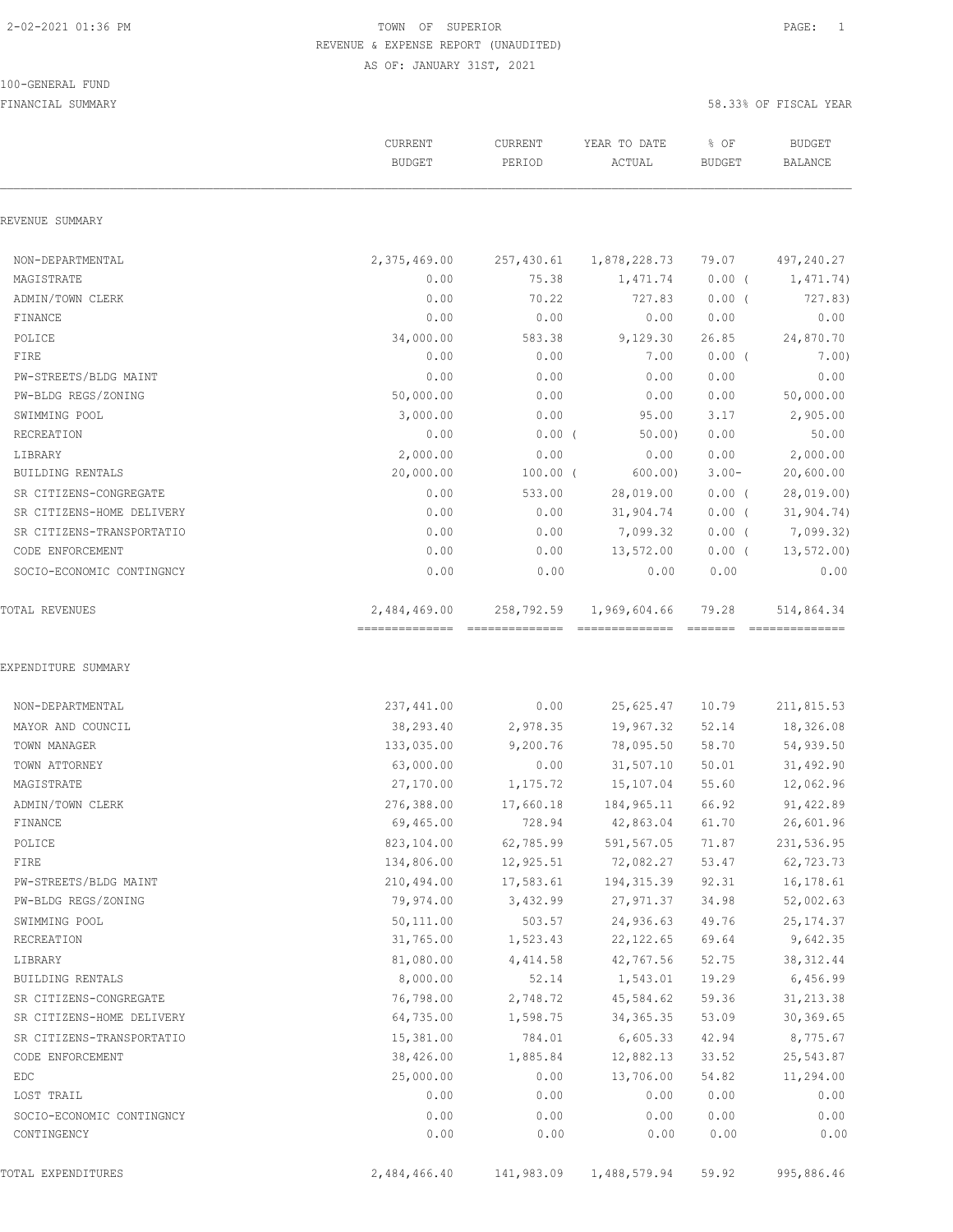#### 100-GENERAL FUND

FINANCIAL SUMMARY 58.33% OF FISCAL YEAR

|                                   | CURRENT<br><b>BUDGET</b> | CURRENT<br>PERIOD | YEAR TO DATE<br>ACTUAL | % OF<br><b>BUDGET</b> | <b>BUDGET</b><br><b>BALANCE</b> |
|-----------------------------------|--------------------------|-------------------|------------------------|-----------------------|---------------------------------|
| REVENUE SUMMARY                   |                          |                   |                        |                       |                                 |
| NON-DEPARTMENTAL                  | 2,375,469.00             | 257,430.61        | 1,878,228.73           | 79.07                 | 497,240.27                      |
| MAGISTRATE                        | 0.00                     | 75.38             | 1,471.74               | $0.00$ (              | 1,471.74)                       |
| ADMIN/TOWN CLERK                  | 0.00                     | 70.22             | 727.83                 | $0.00$ (              | 727.83)                         |
| FINANCE                           | 0.00                     | 0.00              | 0.00                   | 0.00                  | 0.00                            |
| POLICE                            | 34,000.00                | 583.38            | 9,129.30               | 26.85                 | 24,870.70                       |
| FIRE                              | 0.00                     | 0.00              | 7.00                   | $0.00$ (              | 7.00)                           |
| PW-STREETS/BLDG MAINT             | 0.00                     | 0.00              | 0.00                   | 0.00                  | 0.00                            |
| PW-BLDG REGS/ZONING               | 50,000.00                | 0.00              | 0.00                   | 0.00                  | 50,000.00                       |
| SWIMMING POOL                     | 3,000.00                 | 0.00              | 95.00                  | 3.17                  | 2,905.00                        |
| RECREATION                        | 0.00                     | $0.00$ (          | 50.00                  | 0.00                  | 50.00                           |
| LIBRARY                           | 2,000.00                 | 0.00              | 0.00                   | 0.00                  | 2,000.00                        |
| BUILDING RENTALS                  | 20,000.00                | $100.00$ (        | 600.00                 | $3.00 -$              | 20,600.00                       |
| SR CITIZENS-CONGREGATE            | 0.00                     | 533.00            | 28,019.00              | $0.00$ (              | 28,019.00)                      |
| SR CITIZENS-HOME DELIVERY         | 0.00                     | 0.00              | 31,904.74              | $0.00$ (              | 31,904.74)                      |
| SR CITIZENS-TRANSPORTATIO         | 0.00                     | 0.00              | 7,099.32               | $0.00$ (              | 7,099.32)                       |
| CODE ENFORCEMENT                  | 0.00                     | 0.00              | 13,572.00              | $0.00$ (              | 13,572.00)                      |
| SOCIO-ECONOMIC CONTINGNCY         | 0.00                     | 0.00              | 0.00                   | 0.00                  | 0.00                            |
| TOTAL REVENUES                    | 2,484,469.00             | 258,792.59        | 1,969,604.66           | 79.28                 | 514,864.34                      |
| EXPENDITURE SUMMARY               |                          |                   |                        |                       |                                 |
| NON-DEPARTMENTAL                  | 237,441.00               | 0.00              | 25,625.47              | 10.79                 | 211,815.53                      |
| MAYOR AND COUNCIL<br>TOWN MANAGER | 38,293.40                | 2,978.35          | 19,967.32              | 52.14                 | 18,326.08                       |
|                                   | 133,035.00               | 9,200.76          | 78,095.50              | 58.70                 | 54,939.50                       |
| TOWN ATTORNEY                     | 63,000.00                | 0.00              | 31,507.10              | 50.01                 | 31,492.90                       |
| MAGISTRATE                        | 27,170.00                | 1,175.72          | 15,107.04              | 55.60                 | 12,062.96                       |
| ADMIN/TOWN CLERK                  | 276,388.00               | 17,660.18         | 184,965.11             | 66.92                 | 91,422.89                       |
| FINANCE                           | 69,465.00                | 728.94            | 42,863.04              | 61.70                 | 26,601.96                       |
| POLICE                            | 823,104.00               | 62,785.99         | 591,567.05             | 71.87                 | 231,536.95                      |
| FIRE                              | 134,806.00               | 12,925.51         | 72,082.27              | 53.47                 | 62,723.73                       |
| PW-STREETS/BLDG MAINT             | 210,494.00               | 17,583.61         | 194,315.39             | 92.31                 | 16,178.61                       |
| PW-BLDG REGS/ZONING               | 79,974.00                | 3,432.99          | 27,971.37              | 34.98                 | 52,002.63                       |
| SWIMMING POOL                     | 50,111.00                | 503.57            | 24,936.63              | 49.76                 | 25, 174.37                      |
| RECREATION                        | 31,765.00                | 1,523.43          | 22, 122.65             | 69.64                 | 9,642.35                        |
| LIBRARY                           | 81,080.00<br>8,000.00    | 4,414.58          | 42,767.56<br>1,543.01  | 52.75                 | 38, 312.44                      |
| BUILDING RENTALS                  |                          | 52.14             |                        | 19.29                 | 6,456.99                        |
| SR CITIZENS-CONGREGATE            | 76,798.00                | 2,748.72          | 45,584.62              | 59.36                 | 31, 213.38                      |
| SR CITIZENS-HOME DELIVERY         | 64,735.00                | 1,598.75          | 34, 365.35             | 53.09                 | 30, 369.65                      |
| SR CITIZENS-TRANSPORTATIO         | 15,381.00                | 784.01            | 6,605.33               | 42.94                 | 8,775.67                        |
| CODE ENFORCEMENT                  | 38,426.00                | 1,885.84          | 12,882.13              | 33.52                 | 25,543.87                       |
| EDC                               | 25,000.00                | 0.00              | 13,706.00              | 54.82                 | 11,294.00                       |
| LOST TRAIL                        | 0.00                     | 0.00              | 0.00                   | 0.00                  | 0.00                            |
| SOCIO-ECONOMIC CONTINGNCY         | 0.00                     | 0.00              | 0.00                   | 0.00                  | 0.00                            |
| CONTINGENCY                       | 0.00                     | 0.00              | 0.00                   | 0.00                  | 0.00                            |

TOTAL EXPENDITURES 2,484,466.40 141,983.09 1,488,579.94 59.92 995,886.46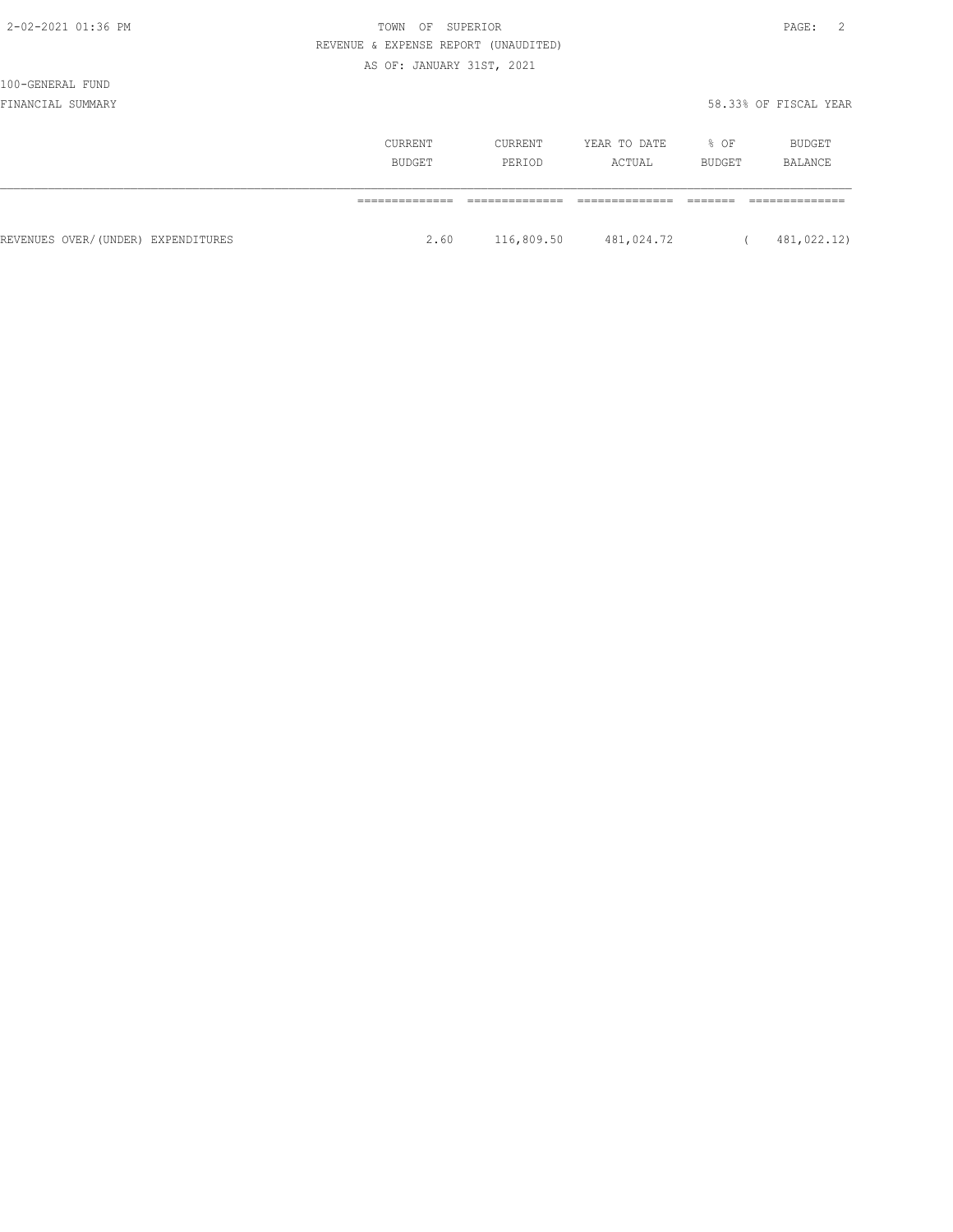| , , ,<br>۰.<br>- |  |
|------------------|--|
|------------------|--|

# 100-GENERAL FUND

|                                    | <b>CURRENT</b><br>BUDGET | CURRENT<br>PERIOD | YEAR TO DATE<br>ACTUAL | % OF<br>BUDGET | <b>BUDGET</b><br>BALANCE |
|------------------------------------|--------------------------|-------------------|------------------------|----------------|--------------------------|
|                                    |                          |                   |                        |                |                          |
| REVENUES OVER/(UNDER) EXPENDITURES | 2.60                     | 116,809.50        | 481,024.72             |                | 481,022.12)              |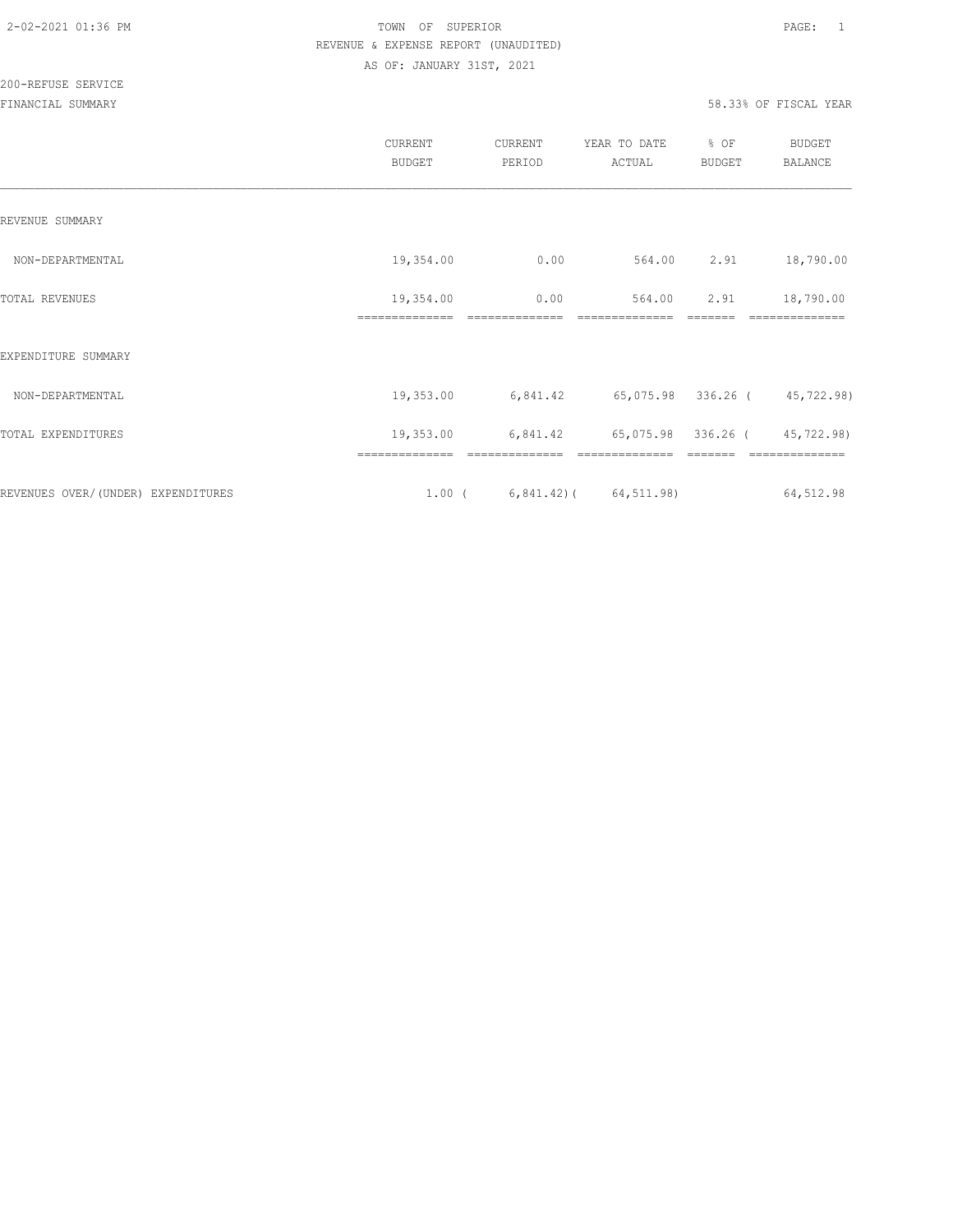|                                    | CURRENT<br><b>BUDGET</b>    | CURRENT<br>PERIOD               | YEAR TO DATE<br>ACTUAL       | % OF<br>BUDGET | BUDGET<br>BALANCE       |
|------------------------------------|-----------------------------|---------------------------------|------------------------------|----------------|-------------------------|
| REVENUE SUMMARY                    |                             |                                 |                              |                |                         |
| NON-DEPARTMENTAL                   | 19,354.00                   | 0.00                            |                              | 564.00 2.91    | 18,790.00               |
| TOTAL REVENUES                     | 19,354.00<br>============== | 0.00<br>==============          | 564.00<br>==============     | 2.91           | 18,790.00<br>========== |
| EXPENDITURE SUMMARY                |                             |                                 |                              |                |                         |
| NON-DEPARTMENTAL                   | 19,353.00                   | 6,841.42                        | 65,075.98 336.26 (45,722.98) |                |                         |
| TOTAL EXPENDITURES                 | 19,353.00                   | 6,841.42                        | 65,075.98 336.26 (45,722.98) |                |                         |
|                                    | ==============              | ==============                  | ==============               |                | ==============          |
| REVENUES OVER/(UNDER) EXPENDITURES |                             | $1.00$ ( 6,841.42) ( 64,511.98) |                              |                | 64,512.98               |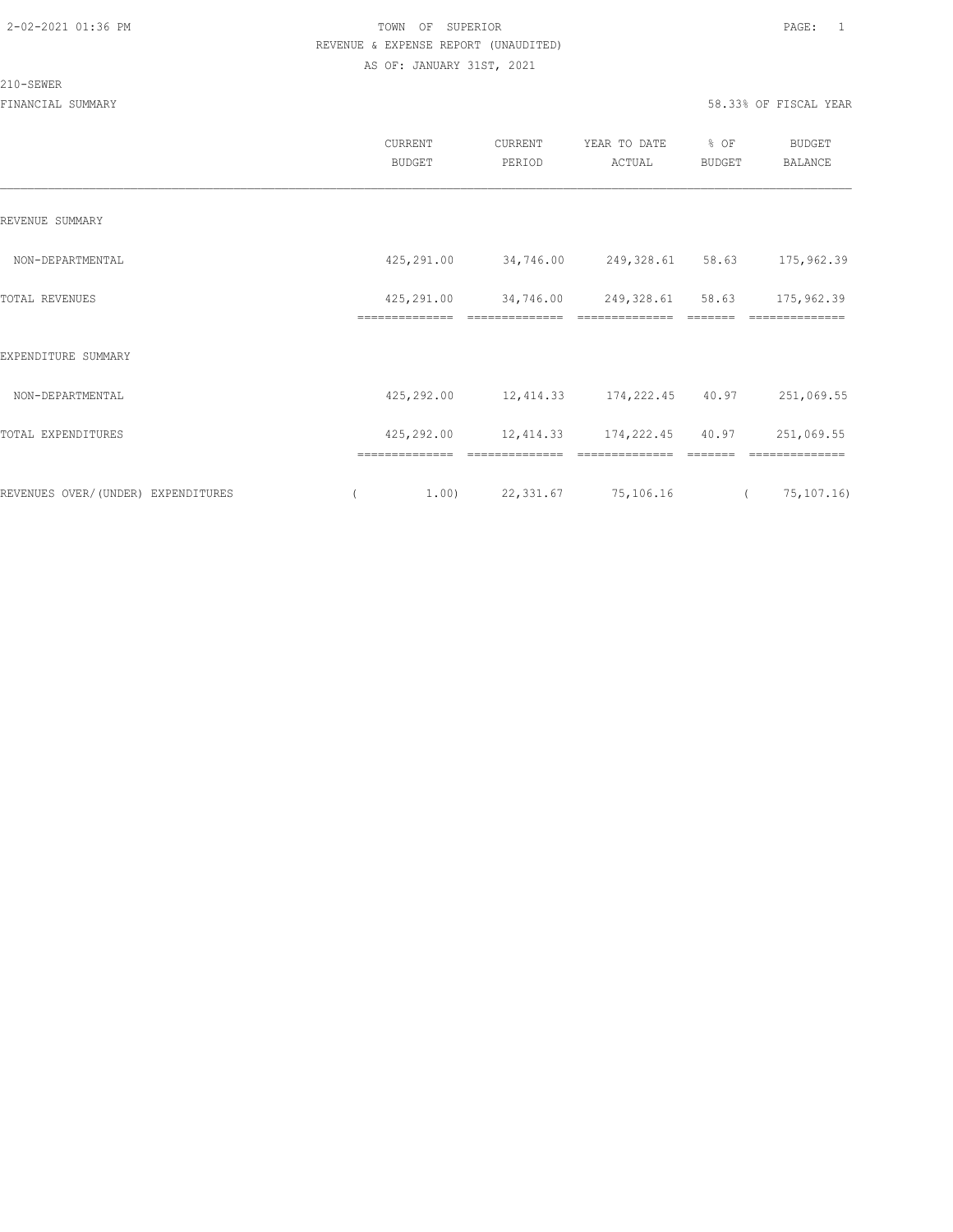#### 210-SEWER

|                                    | CURRENT<br><b>BUDGET</b>     | CURRENT<br>PERIOD                     | YEAR TO DATE<br>ACTUAL             | % OF<br>BUDGET             | <b>BUDGET</b><br>BALANCE     |
|------------------------------------|------------------------------|---------------------------------------|------------------------------------|----------------------------|------------------------------|
| REVENUE SUMMARY                    |                              |                                       |                                    |                            |                              |
| NON-DEPARTMENTAL                   |                              | 425,291.00 34,746.00 249,328.61 58.63 |                                    |                            | 175,962.39                   |
| TOTAL REVENUES                     | 425,291.00<br>============== | 34,746.00                             | 249,328.61 58.63<br>============== |                            | 175,962.39<br>==========     |
| EXPENDITURE SUMMARY                |                              |                                       |                                    |                            |                              |
| NON-DEPARTMENTAL                   |                              | 425,292.00 12,414.33 174,222.45 40.97 |                                    |                            | 251,069.55                   |
| TOTAL EXPENDITURES                 | 425,292.00                   | 12,414.33 174,222.45 40.97            |                                    |                            | 251,069.55                   |
| REVENUES OVER/(UNDER) EXPENDITURES | ==============<br>1.00)      | --------------<br>22,331.67 75,106.16 | --------------                     | --------<br>$\overline{a}$ | --------------<br>75,107.16) |
|                                    |                              |                                       |                                    |                            |                              |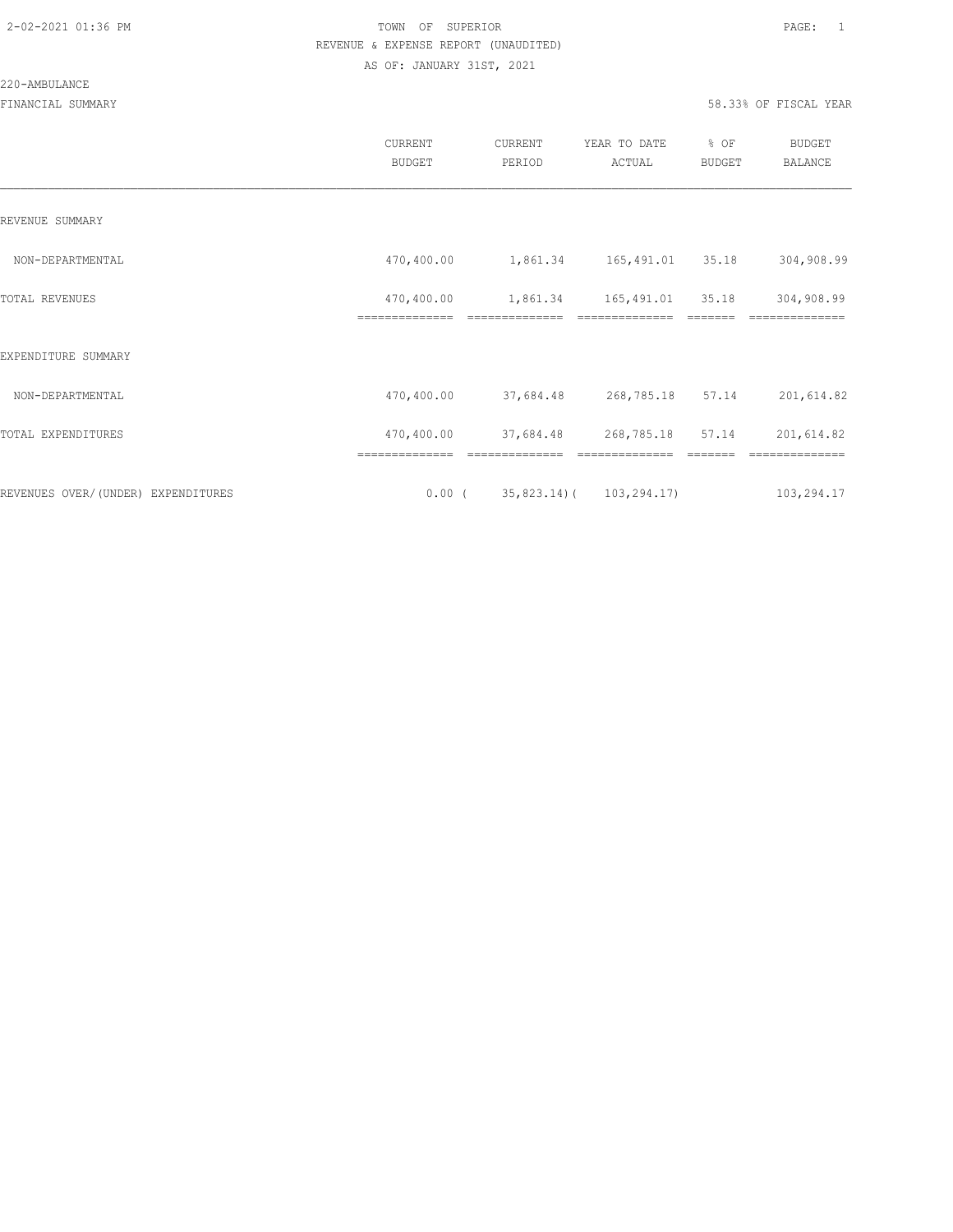#### 220-AMBULANCE

|                                     | CURRENT<br><b>BUDGET</b>     | CURRENT<br>PERIOD          | YEAR TO DATE<br>ACTUAL       | % OF<br>BUDGET | <b>BUDGET</b><br><b>BALANCE</b> |
|-------------------------------------|------------------------------|----------------------------|------------------------------|----------------|---------------------------------|
| REVENUE SUMMARY                     |                              |                            |                              |                |                                 |
| NON-DEPARTMENTAL                    | 470,400.00                   |                            | 1,861.34 165,491.01 35.18    |                | 304,908.99                      |
| TOTAL REVENUES                      | 470,400.00<br>============== | 1,861.34<br>============== | 165,491.01<br>============== | 35.18          | 304,908.99                      |
| EXPENDITURE SUMMARY                 |                              |                            |                              |                |                                 |
| NON-DEPARTMENTAL                    | 470,400.00                   | 37,684.48                  | 268,785.18                   | 57.14          | 201,614.82                      |
| TOTAL EXPENDITURES                  | 470,400.00                   |                            | 37,684.48 268,785.18 57.14   |                | 201,614.82                      |
|                                     |                              |                            |                              |                |                                 |
| REVENUES OVER/ (UNDER) EXPENDITURES | $0.00$ (                     |                            | $35,823.14$ ( $103,294.17$ ) |                | 103,294.17                      |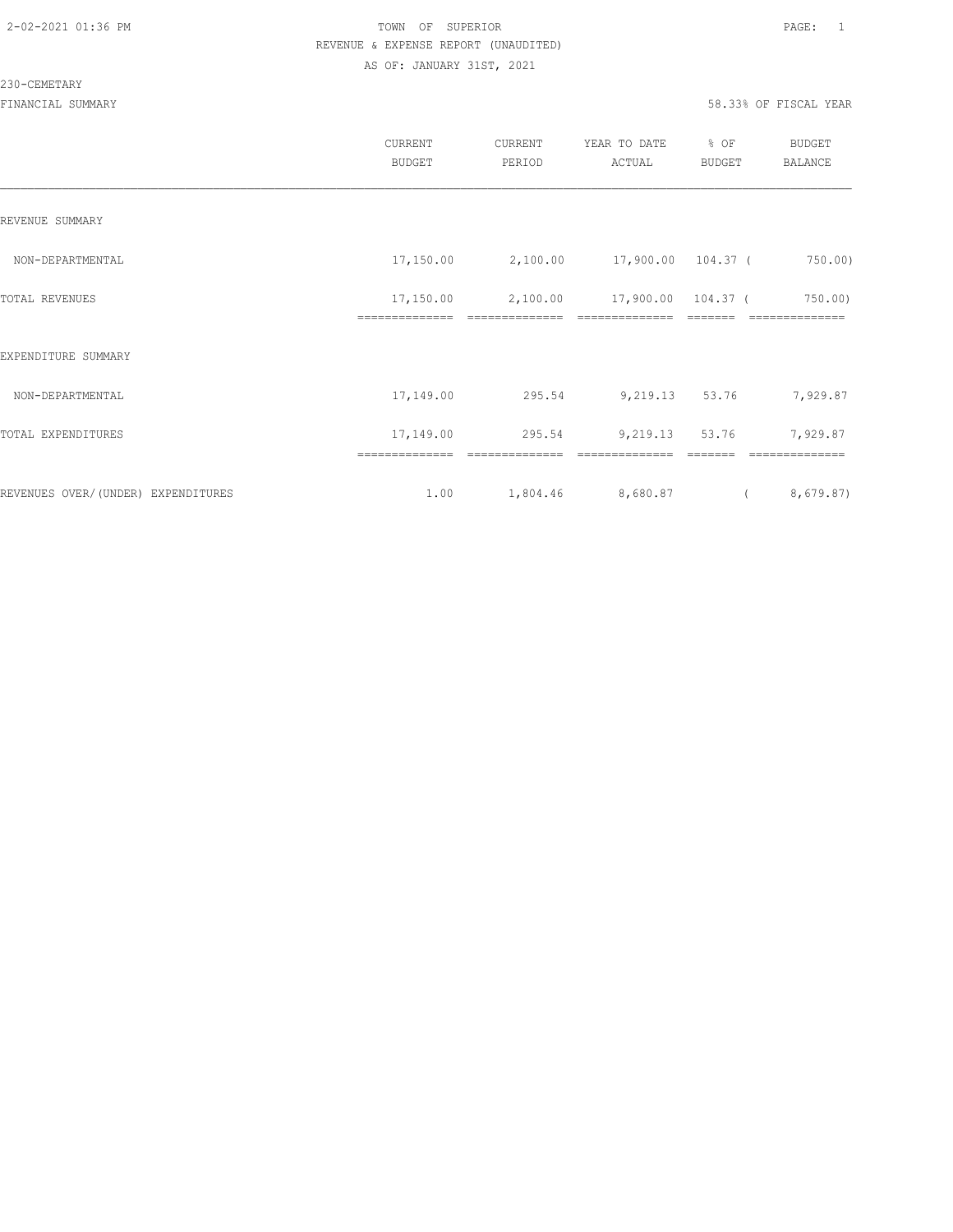#### 230-CEMETARY

|                                    | CURRENT<br><b>BUDGET</b> | CURRENT<br>PERIOD | YEAR TO DATE<br>ACTUAL | % OF<br>BUDGET | BUDGET<br><b>BALANCE</b> |
|------------------------------------|--------------------------|-------------------|------------------------|----------------|--------------------------|
| REVENUE SUMMARY                    |                          |                   |                        |                |                          |
| NON-DEPARTMENTAL                   | 17,150.00                | 2,100.00          | 17,900.00 104.37 (     |                | 750.00)                  |
| TOTAL REVENUES                     | 17,150.00                | 2,100.00          | 17,900.00 104.37 (     |                | $750.00$ )<br>---------- |
| EXPENDITURE SUMMARY                |                          |                   |                        |                |                          |
| NON-DEPARTMENTAL                   | 17,149.00                | 295.54            | 9,219.13 53.76         |                | 7,929.87                 |
| TOTAL EXPENDITURES                 | 17,149.00                | 295.54            | 9,219.13               | 53.76          | 7,929.87                 |
|                                    |                          |                   |                        |                |                          |
| REVENUES OVER/(UNDER) EXPENDITURES | 1.00                     | 1,804.46          | 8,680.87               | $\sqrt{2}$     | 8,679.87)                |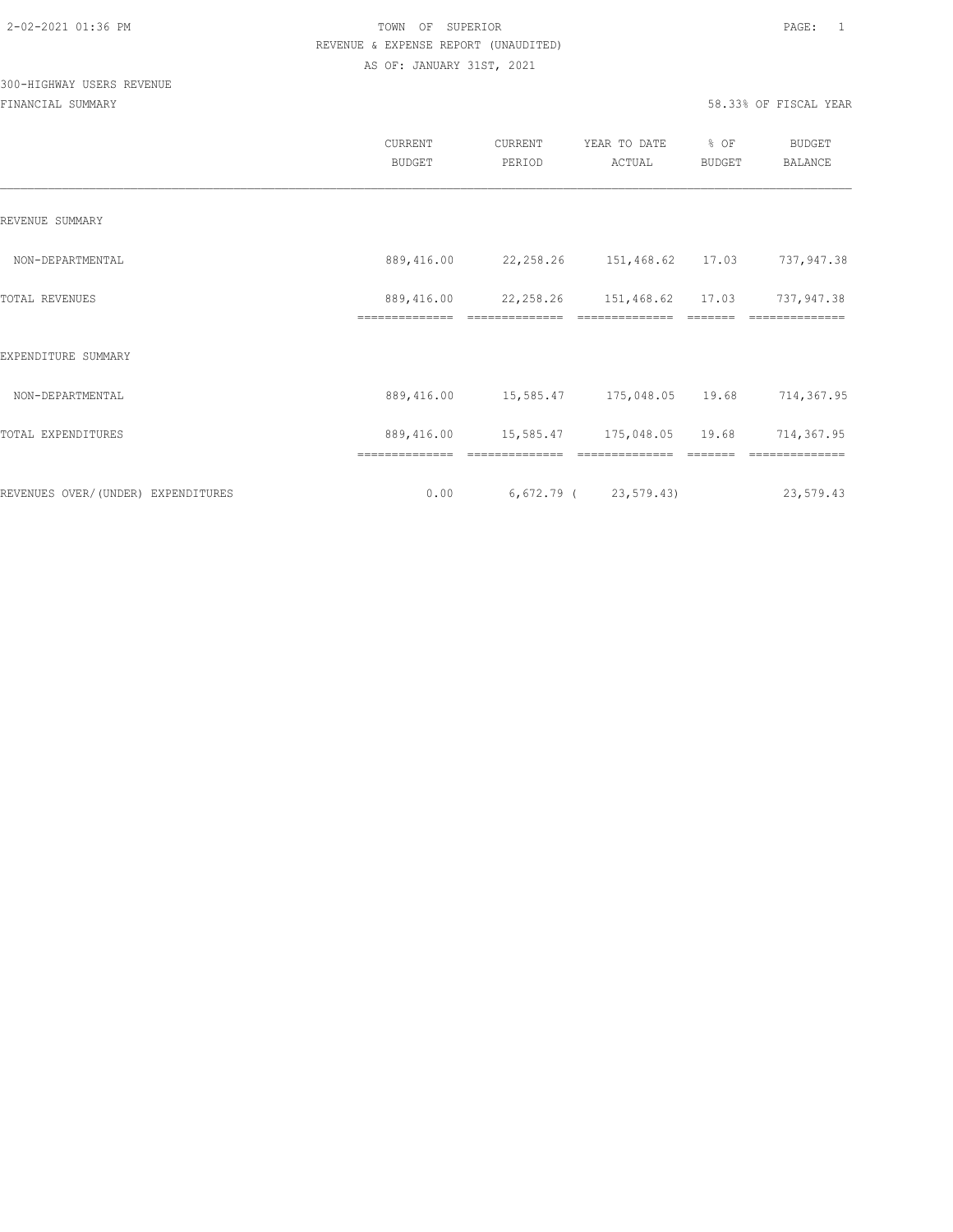# 300-HIGHWAY USERS REVENUE

|                                     | <b>CURRENT</b><br><b>BUDGET</b> | CURRENT<br>PERIOD               | YEAR TO DATE<br>ACTUAL                               | % OF<br>BUDGET | BUDGET<br><b>BALANCE</b>     |
|-------------------------------------|---------------------------------|---------------------------------|------------------------------------------------------|----------------|------------------------------|
| REVENUE SUMMARY                     |                                 |                                 |                                                      |                |                              |
| NON-DEPARTMENTAL                    | 889,416.00                      | 22, 258. 26 151, 468. 62 17. 03 |                                                      |                | 737,947.38                   |
| TOTAL REVENUES                      | 889,416.00<br>==============    | ==============                  | 22, 258. 26   151, 468. 62   17.03<br>============== |                | 737,947.38<br>============== |
| EXPENDITURE SUMMARY                 |                                 |                                 |                                                      |                |                              |
| NON-DEPARTMENTAL                    | 889,416.00                      | 15,585.47 175,048.05 19.68      |                                                      |                | 714,367.95                   |
| TOTAL EXPENDITURES                  | 889,416.00                      |                                 | 15,585.47 175,048.05 19.68                           |                | 714,367.95                   |
| REVENUES OVER/ (UNDER) EXPENDITURES | ==============<br>0.00          | 6,672.79 (23,579.43)            |                                                      |                | 23,579.43                    |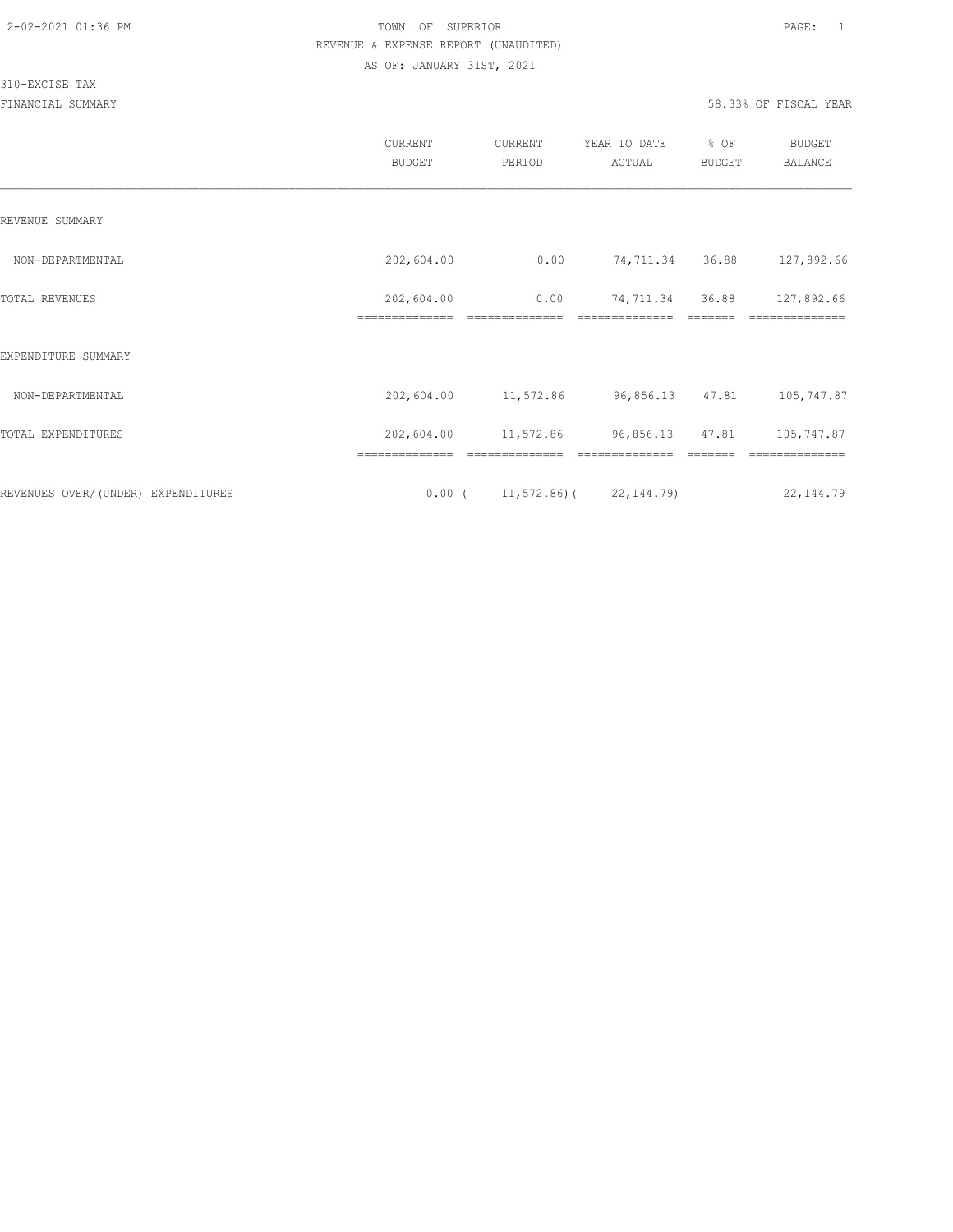#### 310-EXCISE TAX

|                                    | CURRENT<br><b>BUDGET</b>     | CURRENT<br>PERIOD                  | YEAR TO DATE<br>ACTUAL | % OF<br>BUDGET | <b>BUDGET</b><br>BALANCE |
|------------------------------------|------------------------------|------------------------------------|------------------------|----------------|--------------------------|
| REVENUE SUMMARY                    |                              |                                    |                        |                |                          |
| NON-DEPARTMENTAL                   | 202,604.00                   | 0.00                               | 74,711.34              | 36.88          | 127,892.66               |
| TOTAL REVENUES                     | 202,604.00<br>============== | 0.00                               | 74,711.34              | 36.88          | 127,892.66               |
| EXPENDITURE SUMMARY                |                              |                                    |                        |                |                          |
| NON-DEPARTMENTAL                   | 202,604.00                   | 11,572.86                          | 96,856.13              | 47.81          | 105,747.87               |
| TOTAL EXPENDITURES                 | 202,604.00                   | 11,572.86                          | 96,856.13 47.81        |                | 105,747.87               |
|                                    |                              |                                    |                        |                |                          |
| REVENUES OVER/(UNDER) EXPENDITURES |                              | $0.00$ ( 11, 572.86) ( 22, 144.79) |                        |                | 22, 144.79               |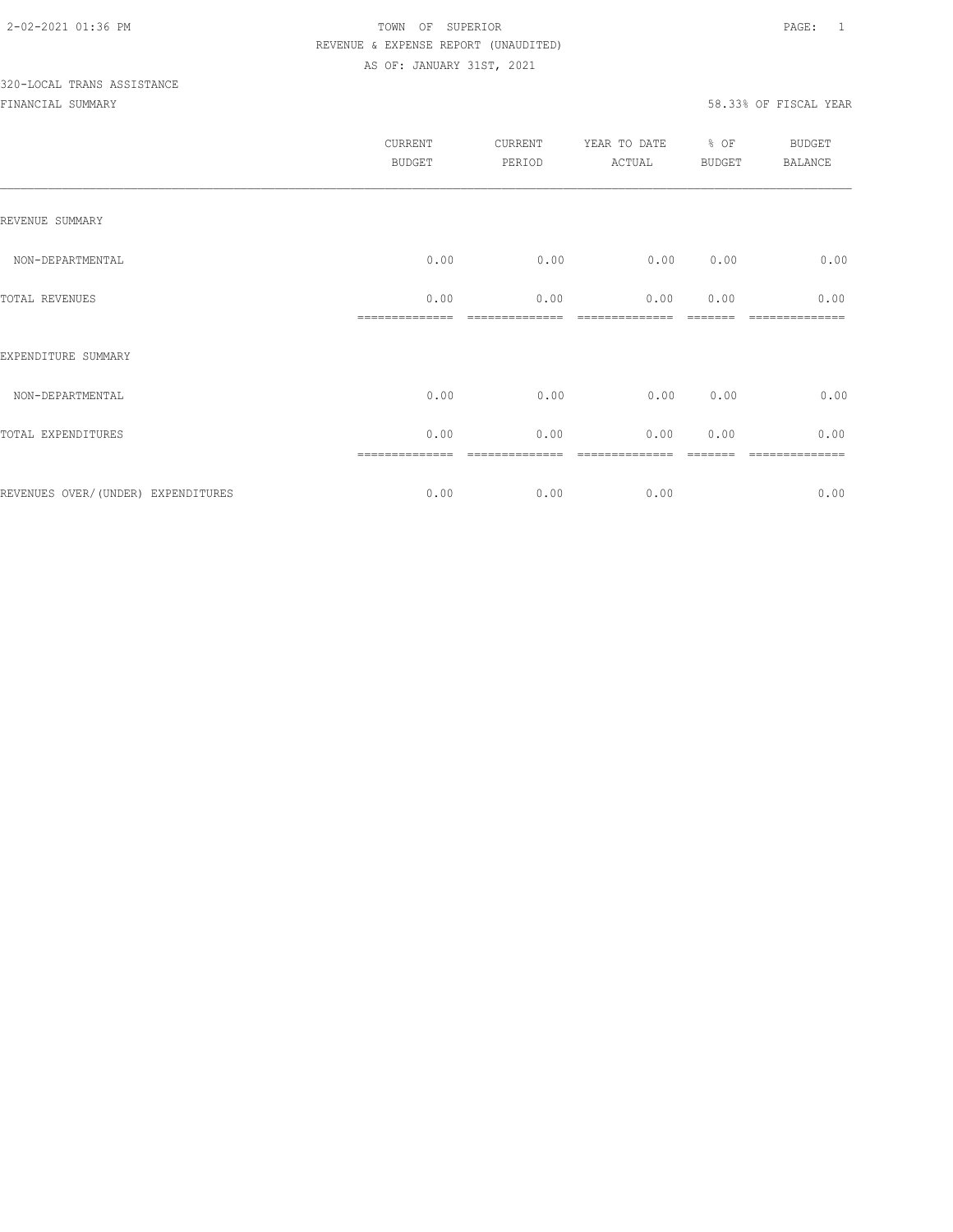# 320-LOCAL TRANS ASSISTANCE

|                                    | <b>CURRENT</b><br>BUDGET | CURRENT<br>PERIOD | YEAR TO DATE<br>ACTUAL | % OF<br>BUDGET | BUDGET<br>BALANCE |
|------------------------------------|--------------------------|-------------------|------------------------|----------------|-------------------|
| REVENUE SUMMARY                    |                          |                   |                        |                |                   |
| NON-DEPARTMENTAL                   | 0.00                     | 0.00              | 0.00                   | 0.00           | 0.00              |
| TOTAL REVENUES                     | 0.00                     | 0.00              | 0.00                   | 0.00           | 0.00              |
| EXPENDITURE SUMMARY                |                          |                   |                        |                |                   |
| NON-DEPARTMENTAL                   | 0.00                     | 0.00              | 0.00                   | 0.00           | 0.00              |
| TOTAL EXPENDITURES                 | 0.00                     | 0.00              | 0.00                   | 0.00           | 0.00              |
| REVENUES OVER/(UNDER) EXPENDITURES | 0.00                     | 0.00              | 0.00                   |                | =======<br>0.00   |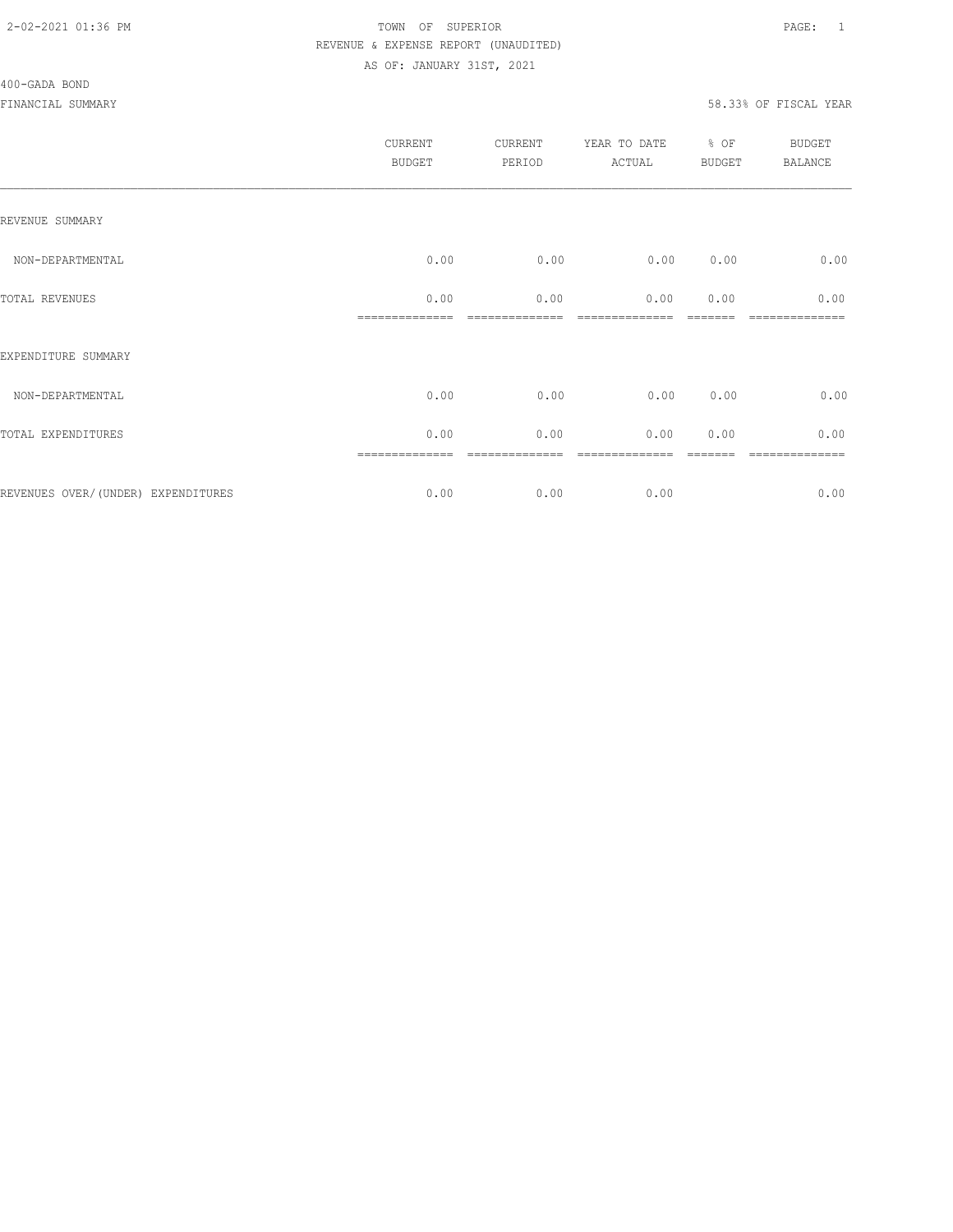#### 400-GADA BOND

|                                    | <b>CURRENT</b><br><b>BUDGET</b> | <b>CURRENT</b><br>PERIOD | YEAR TO DATE<br>ACTUAL | % OF<br><b>BUDGET</b> | BUDGET<br><b>BALANCE</b> |
|------------------------------------|---------------------------------|--------------------------|------------------------|-----------------------|--------------------------|
| REVENUE SUMMARY                    |                                 |                          |                        |                       |                          |
| NON-DEPARTMENTAL                   | 0.00                            | 0.00                     | 0.00                   | 0.00                  | 0.00                     |
| TOTAL REVENUES                     | 0.00                            | 0.00                     | 0.00                   | 0.00                  | 0.00                     |
| EXPENDITURE SUMMARY                |                                 |                          |                        |                       |                          |
| NON-DEPARTMENTAL                   | 0.00                            | 0.00                     | 0.00                   | 0.00                  | 0.00                     |
| TOTAL EXPENDITURES                 | 0.00                            | 0.00                     | 0.00                   | 0.00                  | 0.00                     |
| REVENUES OVER/(UNDER) EXPENDITURES | 0.00                            | 0.00                     | 0.00                   |                       | =======<br>0.00          |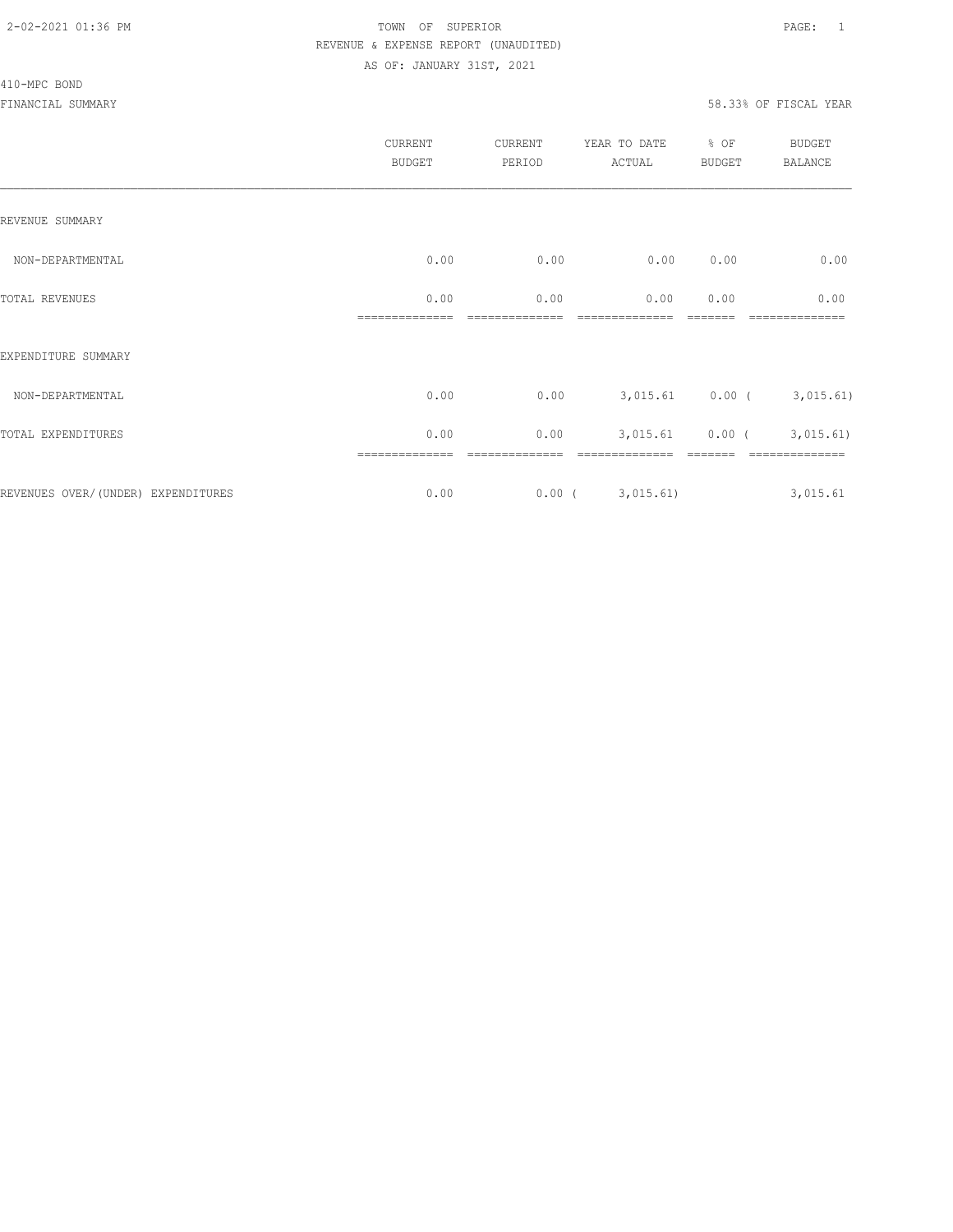#### 410-MPC BOND

|                                    | CURRENT<br><b>BUDGET</b> | CURRENT<br>PERIOD | YEAR TO DATE<br>ACTUAL | % OF<br><b>BUDGET</b> | BUDGET<br><b>BALANCE</b> |
|------------------------------------|--------------------------|-------------------|------------------------|-----------------------|--------------------------|
| REVENUE SUMMARY                    |                          |                   |                        |                       |                          |
| NON-DEPARTMENTAL                   | 0.00                     | 0.00              | 0.00                   | 0.00                  | 0.00                     |
| TOTAL REVENUES                     | 0.00                     | 0.00              | 0.00                   | 0.00                  | 0.00                     |
| EXPENDITURE SUMMARY                |                          |                   |                        |                       |                          |
| NON-DEPARTMENTAL                   | 0.00                     | 0.00              |                        | $3,015.61$ 0.00 (     | 3,015.61)                |
| TOTAL EXPENDITURES                 | 0.00                     | 0.00              | 3,015.61               |                       | $0.00$ ( 3,015.61)       |
| REVENUES OVER/(UNDER) EXPENDITURES | 0.00                     | $0.00$ (          | 3,015.61)              |                       | 3,015.61                 |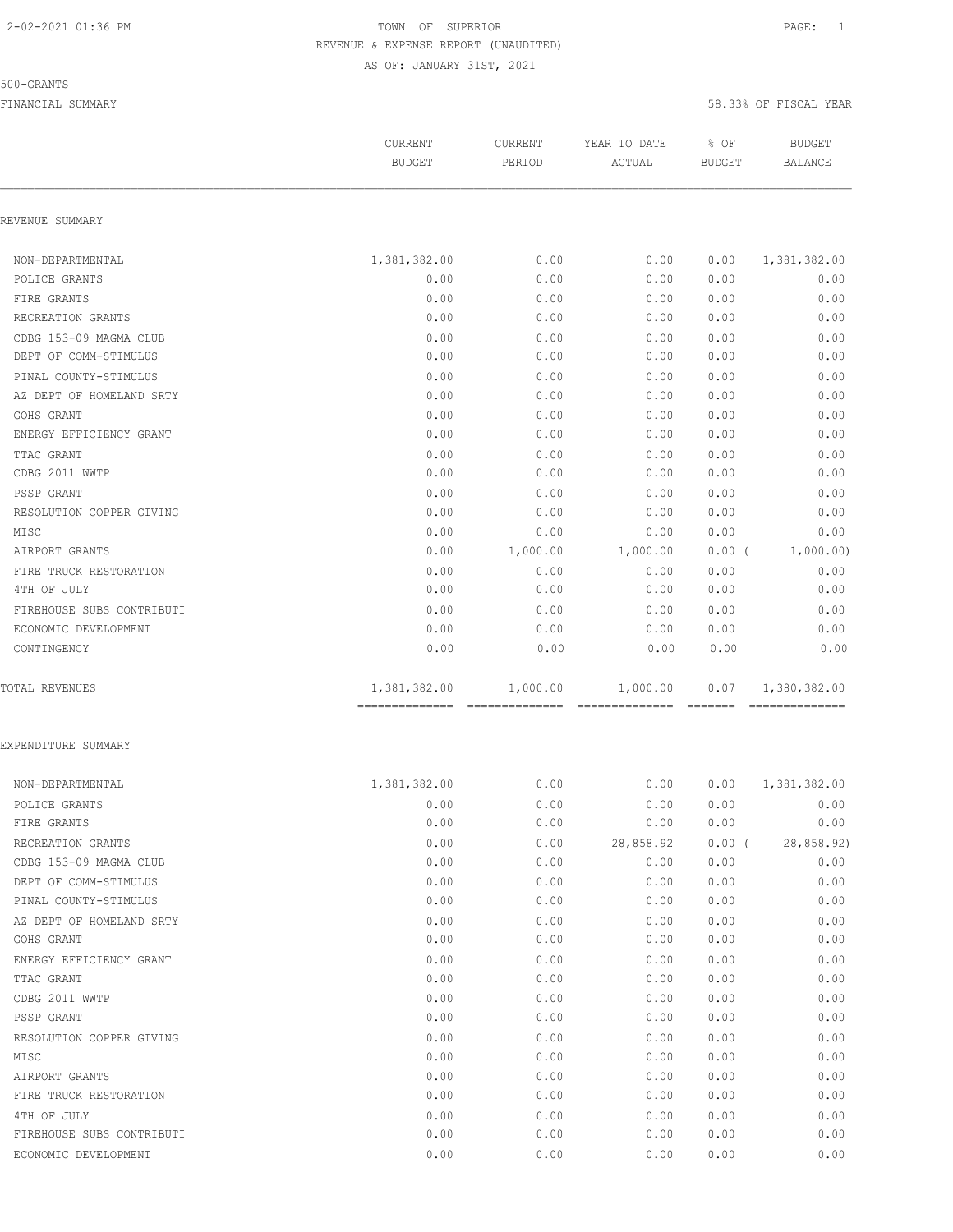#### 500-GRANTS

|                           | <b>CURRENT</b>                 | <b>CURRENT</b> | YEAR TO DATE                                                                                                                                                                                                                                                                                                                                                                                                                                                                                       | % OF           | <b>BUDGET</b>  |
|---------------------------|--------------------------------|----------------|----------------------------------------------------------------------------------------------------------------------------------------------------------------------------------------------------------------------------------------------------------------------------------------------------------------------------------------------------------------------------------------------------------------------------------------------------------------------------------------------------|----------------|----------------|
|                           | <b>BUDGET</b>                  | PERIOD         | ACTUAL                                                                                                                                                                                                                                                                                                                                                                                                                                                                                             | <b>BUDGET</b>  | <b>BALANCE</b> |
| REVENUE SUMMARY           |                                |                |                                                                                                                                                                                                                                                                                                                                                                                                                                                                                                    |                |                |
| NON-DEPARTMENTAL          | 1,381,382.00                   | 0.00           | 0.00                                                                                                                                                                                                                                                                                                                                                                                                                                                                                               | 0.00           | 1,381,382.00   |
| POLICE GRANTS             | 0.00                           | 0.00           | 0.00                                                                                                                                                                                                                                                                                                                                                                                                                                                                                               | 0.00           | 0.00           |
| FIRE GRANTS               | 0.00                           | 0.00           | 0.00                                                                                                                                                                                                                                                                                                                                                                                                                                                                                               | 0.00           | 0.00           |
| RECREATION GRANTS         | 0.00                           | 0.00           | 0.00                                                                                                                                                                                                                                                                                                                                                                                                                                                                                               | 0.00           | 0.00           |
| CDBG 153-09 MAGMA CLUB    | 0.00                           | 0.00           | 0.00                                                                                                                                                                                                                                                                                                                                                                                                                                                                                               | 0.00           | 0.00           |
| DEPT OF COMM-STIMULUS     | 0.00                           | 0.00           | 0.00                                                                                                                                                                                                                                                                                                                                                                                                                                                                                               | 0.00           | 0.00           |
| PINAL COUNTY-STIMULUS     | 0.00                           | 0.00           | 0.00                                                                                                                                                                                                                                                                                                                                                                                                                                                                                               | 0.00           | 0.00           |
| AZ DEPT OF HOMELAND SRTY  | 0.00                           | 0.00           | 0.00                                                                                                                                                                                                                                                                                                                                                                                                                                                                                               | 0.00           | 0.00           |
| GOHS GRANT                | 0.00                           | 0.00           | 0.00                                                                                                                                                                                                                                                                                                                                                                                                                                                                                               | 0.00           | 0.00           |
| ENERGY EFFICIENCY GRANT   | 0.00                           | 0.00           | 0.00                                                                                                                                                                                                                                                                                                                                                                                                                                                                                               | 0.00           | 0.00           |
| TTAC GRANT                | 0.00                           | 0.00           | 0.00                                                                                                                                                                                                                                                                                                                                                                                                                                                                                               | 0.00           | 0.00           |
| CDBG 2011 WWTP            | 0.00                           | 0.00           | 0.00                                                                                                                                                                                                                                                                                                                                                                                                                                                                                               | 0.00           | 0.00           |
| PSSP GRANT                | 0.00                           | 0.00           | 0.00                                                                                                                                                                                                                                                                                                                                                                                                                                                                                               | 0.00           | 0.00           |
| RESOLUTION COPPER GIVING  | 0.00                           | 0.00           | 0.00                                                                                                                                                                                                                                                                                                                                                                                                                                                                                               | 0.00           | 0.00           |
| MISC                      | 0.00                           | 0.00           | 0.00                                                                                                                                                                                                                                                                                                                                                                                                                                                                                               | 0.00           | 0.00           |
| AIRPORT GRANTS            | 0.00                           | 1,000.00       | 1,000.00                                                                                                                                                                                                                                                                                                                                                                                                                                                                                           | $0.00$ (       | 1,000.00)      |
| FIRE TRUCK RESTORATION    | 0.00                           | 0.00           | 0.00                                                                                                                                                                                                                                                                                                                                                                                                                                                                                               | 0.00           | 0.00           |
| 4TH OF JULY               | 0.00                           | 0.00           | 0.00                                                                                                                                                                                                                                                                                                                                                                                                                                                                                               | 0.00           | 0.00           |
| FIREHOUSE SUBS CONTRIBUTI | 0.00                           | 0.00           | 0.00                                                                                                                                                                                                                                                                                                                                                                                                                                                                                               | 0.00           | 0.00           |
| ECONOMIC DEVELOPMENT      | 0.00                           | 0.00           | 0.00                                                                                                                                                                                                                                                                                                                                                                                                                                                                                               | 0.00           | 0.00           |
| CONTINGENCY               | 0.00                           | 0.00           | 0.00                                                                                                                                                                                                                                                                                                                                                                                                                                                                                               | 0.00           | 0.00           |
| TOTAL REVENUES            | 1,381,382.00<br>============== | 1,000.00       | 1,000.00<br>$\begin{array}{cccccccccc} \multicolumn{2}{c}{} & \multicolumn{2}{c}{} & \multicolumn{2}{c}{} & \multicolumn{2}{c}{} & \multicolumn{2}{c}{} & \multicolumn{2}{c}{} & \multicolumn{2}{c}{} & \multicolumn{2}{c}{} & \multicolumn{2}{c}{} & \multicolumn{2}{c}{} & \multicolumn{2}{c}{} & \multicolumn{2}{c}{} & \multicolumn{2}{c}{} & \multicolumn{2}{c}{} & \multicolumn{2}{c}{} & \multicolumn{2}{c}{} & \multicolumn{2}{c}{} & \multicolumn{2}{c}{} & \multicolumn{2}{c}{} & \mult$ | 0.07<br>FEEEEE | 1,380,382.00   |
| EXPENDITURE SUMMARY       |                                |                |                                                                                                                                                                                                                                                                                                                                                                                                                                                                                                    |                |                |
| NON-DEPARTMENTAL          | 1,381,382.00                   | 0.00           | 0.00                                                                                                                                                                                                                                                                                                                                                                                                                                                                                               | 0.00           | 1,381,382.00   |
| POLICE GRANTS             | 0.00                           | 0.00           | 0.00                                                                                                                                                                                                                                                                                                                                                                                                                                                                                               | 0.00           | 0.00           |
| FIRE GRANTS               | 0.00                           | 0.00           | 0.00                                                                                                                                                                                                                                                                                                                                                                                                                                                                                               | 0.00           | 0.00           |
| RECREATION GRANTS         | 0.00                           | 0.00           | 28,858.92                                                                                                                                                                                                                                                                                                                                                                                                                                                                                          | $0.00$ (       | 28,858.92)     |
| CDBG 153-09 MAGMA CLUB    | 0.00                           | 0.00           | 0.00                                                                                                                                                                                                                                                                                                                                                                                                                                                                                               | 0.00           | 0.00           |
| DEPT OF COMM-STIMULUS     | 0.00                           | 0.00           | 0.00                                                                                                                                                                                                                                                                                                                                                                                                                                                                                               | 0.00           | 0.00           |
| PINAL COUNTY-STIMULUS     | 0.00                           | 0.00           | 0.00                                                                                                                                                                                                                                                                                                                                                                                                                                                                                               | 0.00           | 0.00           |
| AZ DEPT OF HOMELAND SRTY  | 0.00                           | 0.00           | 0.00                                                                                                                                                                                                                                                                                                                                                                                                                                                                                               | 0.00           | 0.00           |
| GOHS GRANT                | 0.00                           | 0.00           | 0.00                                                                                                                                                                                                                                                                                                                                                                                                                                                                                               | 0.00           | 0.00           |
| ENERGY EFFICIENCY GRANT   | 0.00                           | 0.00           | 0.00                                                                                                                                                                                                                                                                                                                                                                                                                                                                                               | 0.00           | 0.00           |
| TTAC GRANT                | 0.00                           | 0.00           | 0.00                                                                                                                                                                                                                                                                                                                                                                                                                                                                                               | 0.00           | 0.00           |
| CDBG 2011 WWTP            | 0.00                           | 0.00           | 0.00                                                                                                                                                                                                                                                                                                                                                                                                                                                                                               | 0.00           | 0.00           |
| PSSP GRANT                | 0.00                           | 0.00           | 0.00                                                                                                                                                                                                                                                                                                                                                                                                                                                                                               | 0.00           | 0.00           |
| RESOLUTION COPPER GIVING  | 0.00                           | 0.00           | 0.00                                                                                                                                                                                                                                                                                                                                                                                                                                                                                               | 0.00           | 0.00           |
| MISC                      | 0.00                           | 0.00           | 0.00                                                                                                                                                                                                                                                                                                                                                                                                                                                                                               | 0.00           | 0.00           |
| AIRPORT GRANTS            | 0.00                           | 0.00           | 0.00                                                                                                                                                                                                                                                                                                                                                                                                                                                                                               | 0.00           | 0.00           |
| FIRE TRUCK RESTORATION    | 0.00                           | 0.00           | 0.00                                                                                                                                                                                                                                                                                                                                                                                                                                                                                               | 0.00           | 0.00           |
| 4TH OF JULY               | 0.00                           | 0.00           | 0.00                                                                                                                                                                                                                                                                                                                                                                                                                                                                                               | 0.00           | 0.00           |
| FIREHOUSE SUBS CONTRIBUTI | 0.00                           | 0.00           | 0.00                                                                                                                                                                                                                                                                                                                                                                                                                                                                                               | 0.00           | 0.00           |
| ECONOMIC DEVELOPMENT      | 0.00                           | 0.00           | 0.00                                                                                                                                                                                                                                                                                                                                                                                                                                                                                               | 0.00           | 0.00           |
|                           |                                |                |                                                                                                                                                                                                                                                                                                                                                                                                                                                                                                    |                |                |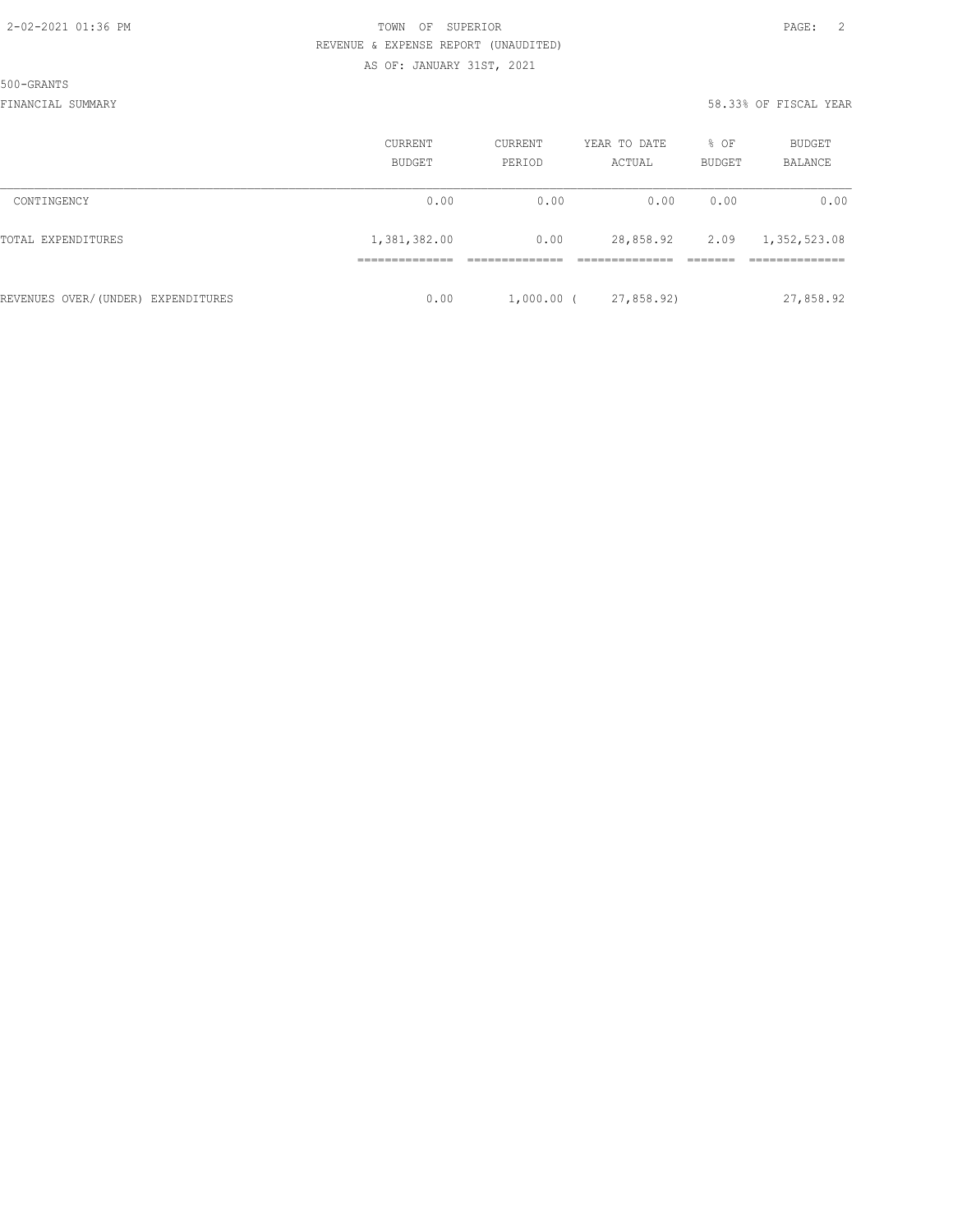500-GRANTS

|                                    | CURRENT<br>BUDGET | CURRENT<br>PERIOD | YEAR TO DATE<br>ACTUAL | % OF<br>BUDGET | <b>BUDGET</b><br>BALANCE |
|------------------------------------|-------------------|-------------------|------------------------|----------------|--------------------------|
| CONTINGENCY                        | 0.00              | 0.00              | 0.00                   | 0.00           | 0.00                     |
| TOTAL EXPENDITURES                 | 1,381,382.00      | 0.00              | 28,858.92              | 2.09           | 1,352,523.08             |
|                                    |                   |                   |                        |                |                          |
| REVENUES OVER/(UNDER) EXPENDITURES | 0.00              | $1,000.00$ (      | 27,858.92)             |                | 27,858.92                |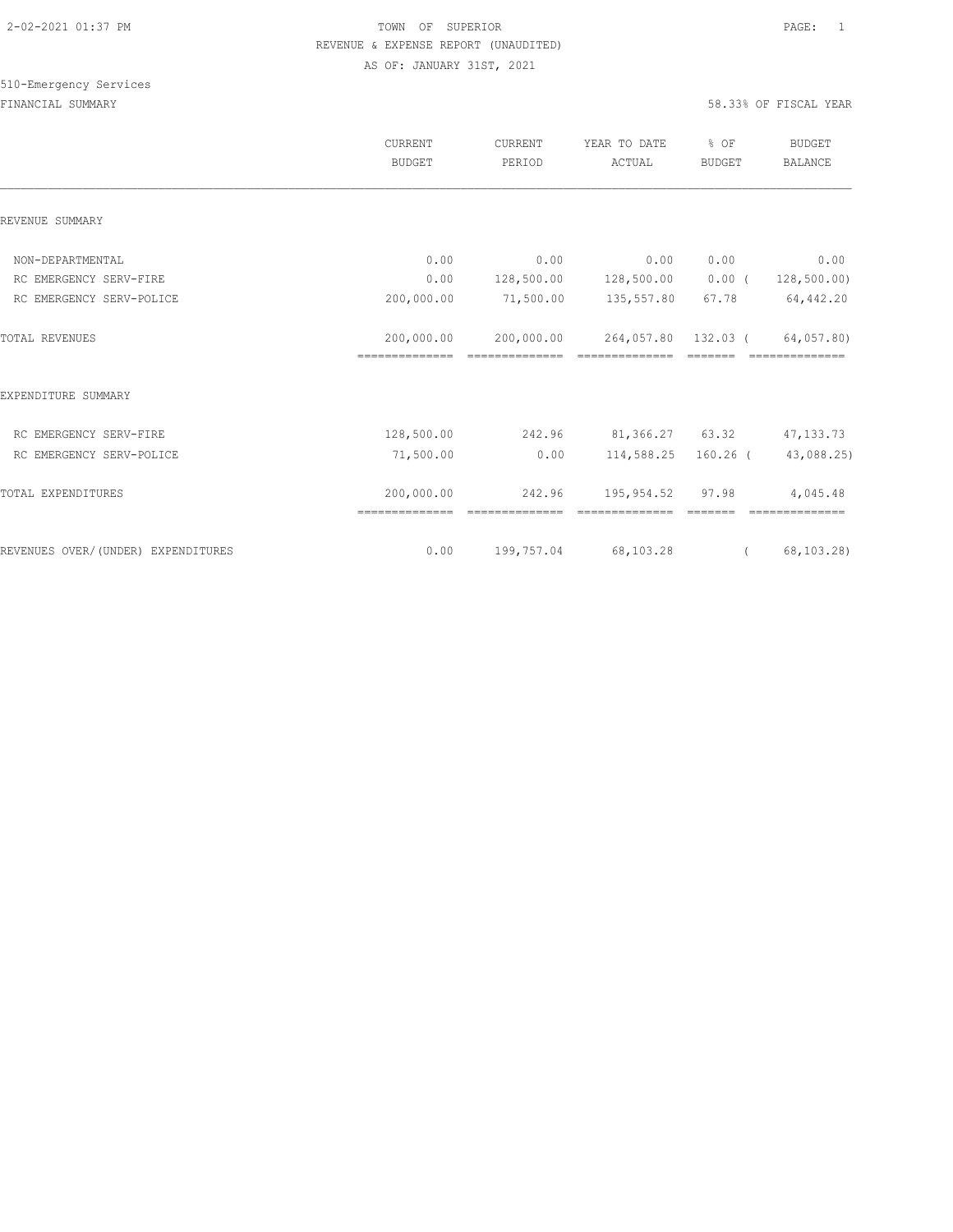# 510-Emergency Services

|                                    | CURRENT<br><b>BUDGET</b> | CURRENT<br>PERIOD | YEAR TO DATE<br>ACTUAL                      | % OF<br>BUDGET | <b>BUDGET</b><br><b>BALANCE</b> |
|------------------------------------|--------------------------|-------------------|---------------------------------------------|----------------|---------------------------------|
| REVENUE SUMMARY                    |                          |                   |                                             |                |                                 |
| NON-DEPARTMENTAL                   | 0.00                     | 0.00              | 0.00                                        | 0.00           | 0.00                            |
| RC EMERGENCY SERV-FIRE             | 0.00                     |                   | 128,500.00    128,500.00                    | $0.00$ (       | 128,500.00)                     |
| RC EMERGENCY SERV-POLICE           | 200,000.00               | 71,500.00         | 135,557.80                                  | 67.78          | 64,442.20                       |
| <b>TOTAL REVENUES</b>              | 200,000.00               |                   | 200,000.00 264,057.80 132.03 (              |                | 64,057.80)                      |
| EXPENDITURE SUMMARY                |                          |                   |                                             |                |                                 |
| RC EMERGENCY SERV-FIRE             |                          |                   | 128,500.00 242.96 81,366.27 63.32 47,133.73 |                |                                 |
| RC EMERGENCY SERV-POLICE           | 71,500.00                | 0.00              |                                             |                | 114,588.25 160.26 (43,088.25)   |
| TOTAL EXPENDITURES                 | 200,000.00               | 242.96            | 195,954.52 97.98                            |                | 4,045.48                        |
| REVENUES OVER/(UNDER) EXPENDITURES | 0.00                     | 199,757.04        | 68,103.28                                   |                | (68, 103, 28)                   |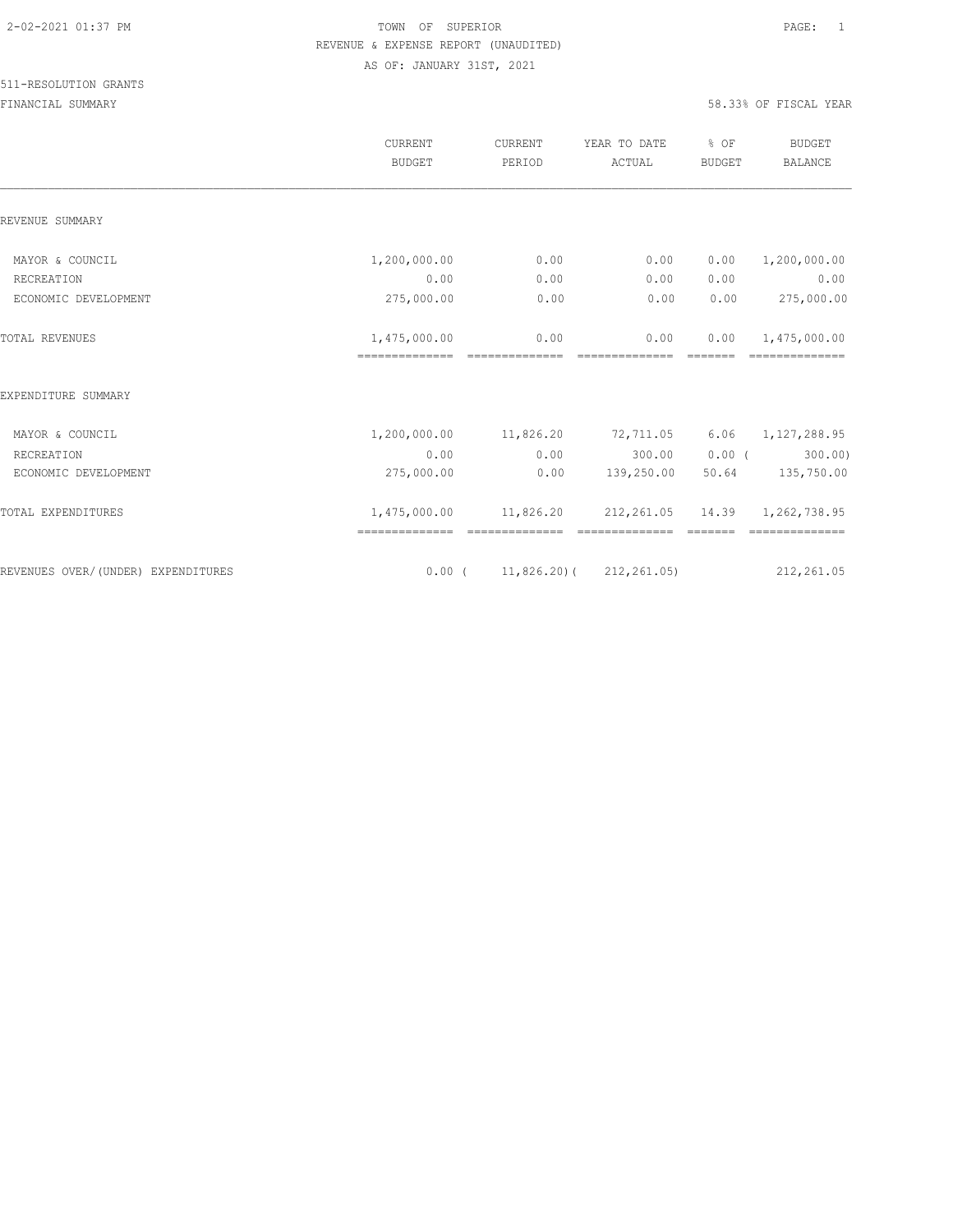|                                    | <b>CURRENT</b><br><b>BUDGET</b> | CURRENT<br>PERIOD      | YEAR TO DATE<br>ACTUAL                                                                                                                                                                                                                                                                                                                                                                                                                                                                                                                                 | % OF<br><b>BUDGET</b> | <b>BUDGET</b><br><b>BALANCE</b>                                                                                                                                                                                                                                                                                                                                                                                                                                                              |
|------------------------------------|---------------------------------|------------------------|--------------------------------------------------------------------------------------------------------------------------------------------------------------------------------------------------------------------------------------------------------------------------------------------------------------------------------------------------------------------------------------------------------------------------------------------------------------------------------------------------------------------------------------------------------|-----------------------|----------------------------------------------------------------------------------------------------------------------------------------------------------------------------------------------------------------------------------------------------------------------------------------------------------------------------------------------------------------------------------------------------------------------------------------------------------------------------------------------|
| REVENUE SUMMARY                    |                                 |                        |                                                                                                                                                                                                                                                                                                                                                                                                                                                                                                                                                        |                       |                                                                                                                                                                                                                                                                                                                                                                                                                                                                                              |
| MAYOR & COUNCIL                    | 1,200,000.00                    | 0.00                   | 0.00                                                                                                                                                                                                                                                                                                                                                                                                                                                                                                                                                   | 0.00                  | 1,200,000.00                                                                                                                                                                                                                                                                                                                                                                                                                                                                                 |
| RECREATION                         | 0.00                            | 0.00                   | 0.00                                                                                                                                                                                                                                                                                                                                                                                                                                                                                                                                                   | 0.00                  | 0.00                                                                                                                                                                                                                                                                                                                                                                                                                                                                                         |
| ECONOMIC DEVELOPMENT               | 275,000.00                      | 0.00                   | 0.00                                                                                                                                                                                                                                                                                                                                                                                                                                                                                                                                                   | 0.00                  | 275,000.00                                                                                                                                                                                                                                                                                                                                                                                                                                                                                   |
| <b>TOTAL REVENUES</b>              | 1,475,000.00<br>==============  | 0.00<br>============== | 0.00<br>==============                                                                                                                                                                                                                                                                                                                                                                                                                                                                                                                                 | 0.00                  | 1,475,000.00<br>==============                                                                                                                                                                                                                                                                                                                                                                                                                                                               |
| EXPENDITURE SUMMARY                |                                 |                        |                                                                                                                                                                                                                                                                                                                                                                                                                                                                                                                                                        |                       |                                                                                                                                                                                                                                                                                                                                                                                                                                                                                              |
| MAYOR & COUNCIL                    | 1,200,000.00 11,826.20          |                        | 72,711.05                                                                                                                                                                                                                                                                                                                                                                                                                                                                                                                                              |                       | $6.06$ $1,127,288.95$                                                                                                                                                                                                                                                                                                                                                                                                                                                                        |
| RECREATION                         | 0.00                            | 0.00                   | 300.00                                                                                                                                                                                                                                                                                                                                                                                                                                                                                                                                                 |                       | 300.00)<br>$0.00$ (                                                                                                                                                                                                                                                                                                                                                                                                                                                                          |
| ECONOMIC DEVELOPMENT               | 275,000.00                      | 0.00                   | 139,250.00                                                                                                                                                                                                                                                                                                                                                                                                                                                                                                                                             | 50.64                 | 135,750.00                                                                                                                                                                                                                                                                                                                                                                                                                                                                                   |
| TOTAL EXPENDITURES                 | --------------- --------------  |                        | 1,475,000.00   11,826.20   212,261.05   14.39   1,262,738.95<br>$\begin{array}{cccccccccc} \multicolumn{2}{c}{} & \multicolumn{2}{c}{} & \multicolumn{2}{c}{} & \multicolumn{2}{c}{} & \multicolumn{2}{c}{} & \multicolumn{2}{c}{} & \multicolumn{2}{c}{} & \multicolumn{2}{c}{} & \multicolumn{2}{c}{} & \multicolumn{2}{c}{} & \multicolumn{2}{c}{} & \multicolumn{2}{c}{} & \multicolumn{2}{c}{} & \multicolumn{2}{c}{} & \multicolumn{2}{c}{} & \multicolumn{2}{c}{} & \multicolumn{2}{c}{} & \multicolumn{2}{c}{} & \multicolumn{2}{c}{} & \mult$ |                       | $\begin{array}{c} \multicolumn{2}{c} {\textbf{1}} & \multicolumn{2}{c} {\textbf{2}} & \multicolumn{2}{c} {\textbf{3}} & \multicolumn{2}{c} {\textbf{4}} \\ \multicolumn{2}{c} {\textbf{5}} & \multicolumn{2}{c} {\textbf{6}} & \multicolumn{2}{c} {\textbf{7}} & \multicolumn{2}{c} {\textbf{8}} & \multicolumn{2}{c} {\textbf{9}} \\ \multicolumn{2}{c} {\textbf{6}} & \multicolumn{2}{c} {\textbf{7}} & \multicolumn{2}{c} {\textbf{8}} & \multicolumn{2}{c} {\textbf{9}} & \multicolumn{$ |
| REVENUES OVER/(UNDER) EXPENDITURES |                                 |                        | $0.00$ ( $11,826.20$ ) ( $212,261.05$ )                                                                                                                                                                                                                                                                                                                                                                                                                                                                                                                |                       | 212,261.05                                                                                                                                                                                                                                                                                                                                                                                                                                                                                   |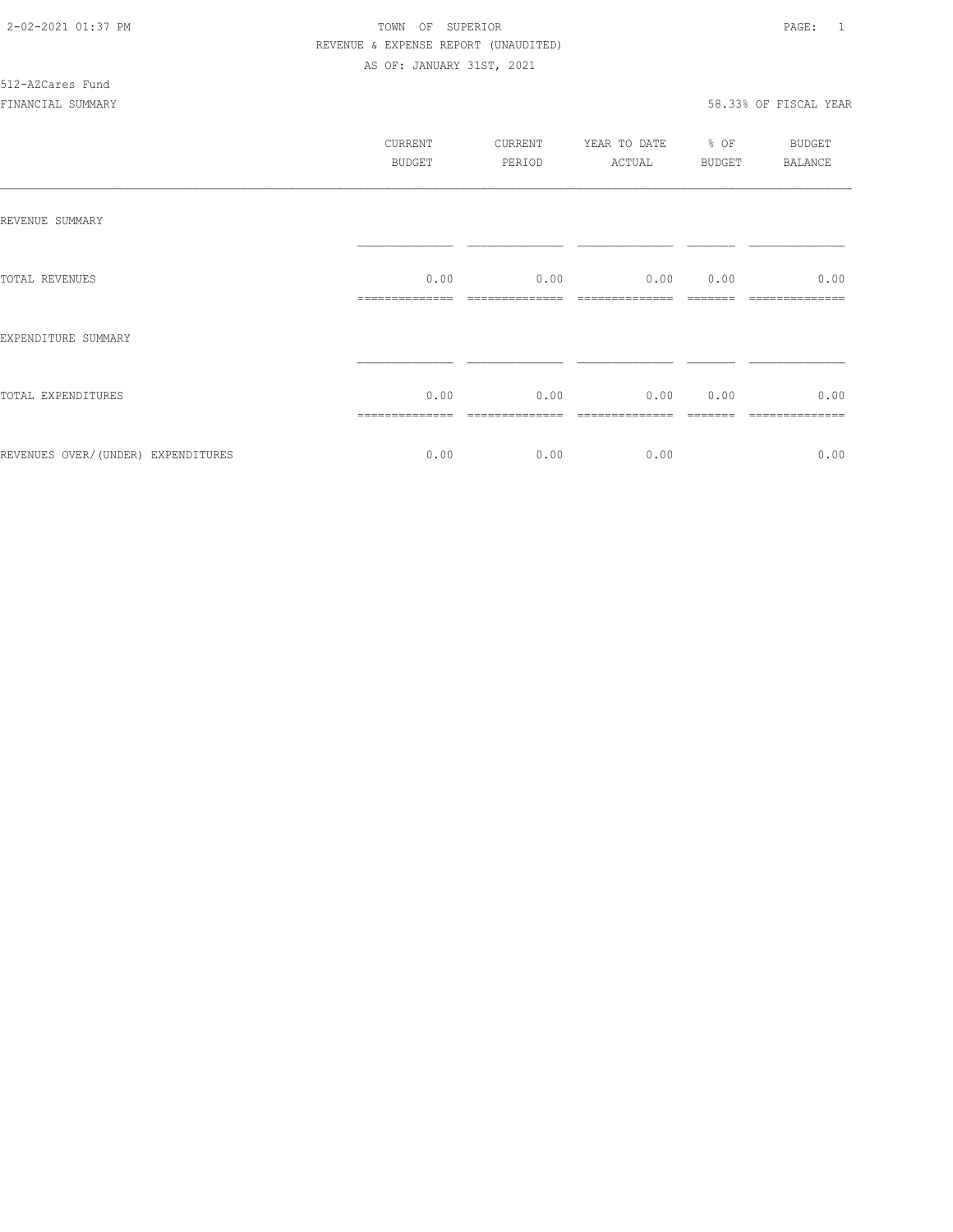# 512-AZCares Fund

|                                    | CURRENT<br><b>BUDGET</b> | CURRENT<br>PERIOD | YEAR TO DATE<br>ACTUAL | % OF<br>BUDGET | <b>BUDGET</b><br><b>BALANCE</b> |
|------------------------------------|--------------------------|-------------------|------------------------|----------------|---------------------------------|
| REVENUE SUMMARY                    |                          |                   |                        |                |                                 |
| TOTAL REVENUES                     | 0.00<br>--------------   | 0.00              | 0.00                   | 0.00           | 0.00                            |
| EXPENDITURE SUMMARY                |                          |                   |                        |                |                                 |
| TOTAL EXPENDITURES                 | 0.00                     | 0.00              | 0.00                   | 0.00           | 0.00                            |
| REVENUES OVER/(UNDER) EXPENDITURES | 0.00                     | 0.00              | 0.00                   |                | 0.00                            |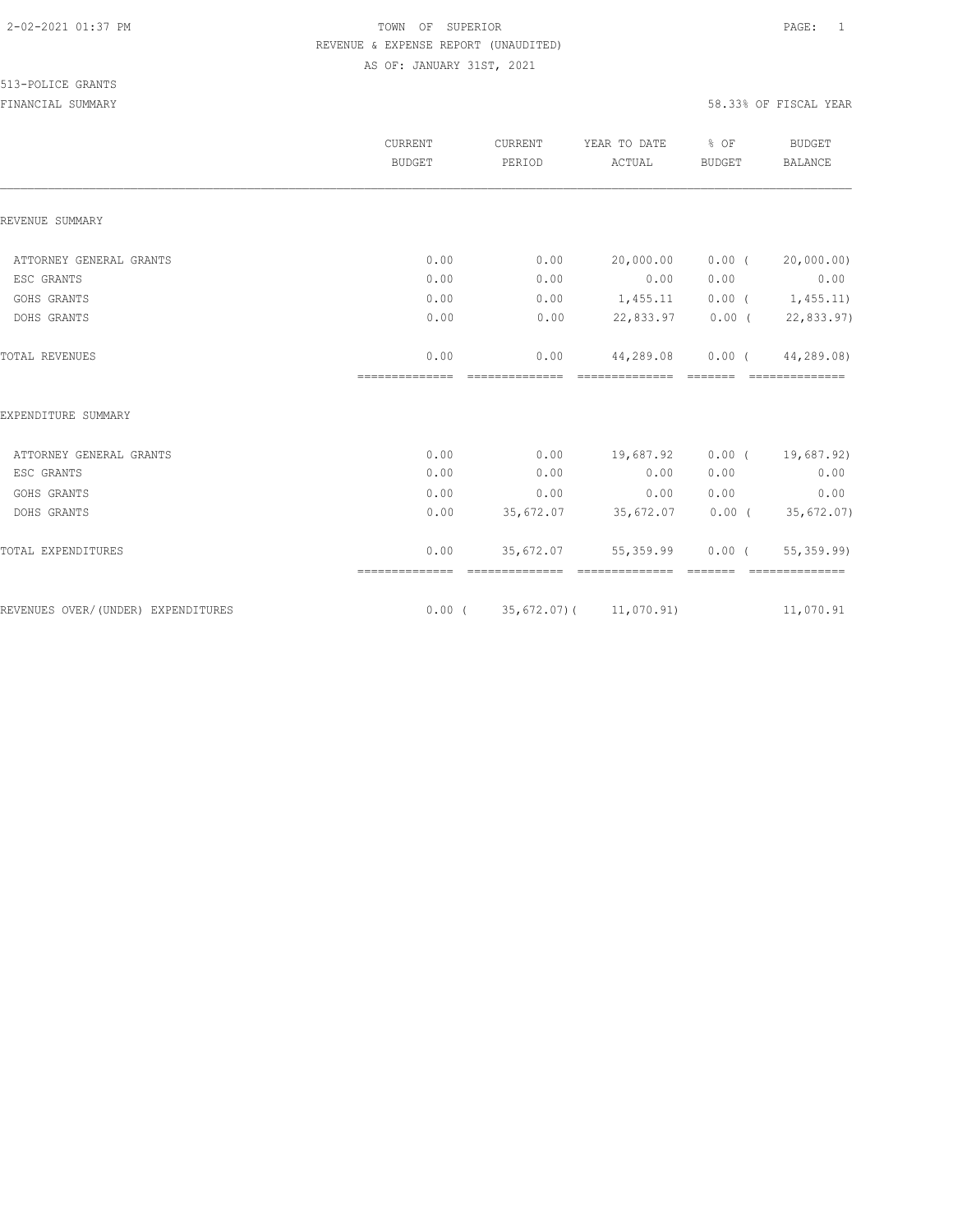|                                    | CURRENT<br><b>BUDGET</b> | CURRENT<br>PERIOD           | YEAR TO DATE<br>ACTUAL             | % OF<br><b>BUDGET</b>                                                                                                                                                                                                                                                                                                                                                                                                                                                                            | <b>BUDGET</b><br><b>BALANCE</b> |
|------------------------------------|--------------------------|-----------------------------|------------------------------------|--------------------------------------------------------------------------------------------------------------------------------------------------------------------------------------------------------------------------------------------------------------------------------------------------------------------------------------------------------------------------------------------------------------------------------------------------------------------------------------------------|---------------------------------|
| REVENUE SUMMARY                    |                          |                             |                                    |                                                                                                                                                                                                                                                                                                                                                                                                                                                                                                  |                                 |
| ATTORNEY GENERAL GRANTS            | 0.00                     | 0.00                        | 20,000.00                          | $0.00$ (                                                                                                                                                                                                                                                                                                                                                                                                                                                                                         | 20,000.00)                      |
| ESC GRANTS                         | 0.00                     | 0.00                        | 0.00                               | 0.00                                                                                                                                                                                                                                                                                                                                                                                                                                                                                             | 0.00                            |
| GOHS GRANTS                        | 0.00                     | 0.00                        | 1,455.11                           |                                                                                                                                                                                                                                                                                                                                                                                                                                                                                                  | $0.00$ ( $1,455.11$ )           |
| DOHS GRANTS                        | 0.00                     | 0.00                        | 22,833.97                          |                                                                                                                                                                                                                                                                                                                                                                                                                                                                                                  | $0.00$ ( 22,833.97)             |
| TOTAL REVENUES                     | 0.00<br>==============   | 0.00<br>---------------     | 44,289.08                          |                                                                                                                                                                                                                                                                                                                                                                                                                                                                                                  | 0.00(44, 289.08)                |
| EXPENDITURE SUMMARY                |                          |                             |                                    |                                                                                                                                                                                                                                                                                                                                                                                                                                                                                                  |                                 |
| ATTORNEY GENERAL GRANTS            | 0.00                     | 0.00                        | 19,687.92                          |                                                                                                                                                                                                                                                                                                                                                                                                                                                                                                  | $0.00$ ( $19,687.92$ )          |
| ESC GRANTS                         | 0.00                     | 0.00                        | 0.00                               | 0.00                                                                                                                                                                                                                                                                                                                                                                                                                                                                                             | 0.00                            |
| GOHS GRANTS                        | 0.00                     | 0.00                        | 0.00                               | 0.00                                                                                                                                                                                                                                                                                                                                                                                                                                                                                             | 0.00                            |
| DOHS GRANTS                        | 0.00                     |                             | 35,672.07 35,672.07                |                                                                                                                                                                                                                                                                                                                                                                                                                                                                                                  | $0.00$ ( 35,672.07)             |
| TOTAL EXPENDITURES                 | 0.00<br>==============   | 35,672.07<br>============== | 55,359.99<br>==============        | $0.00$ (<br>$\begin{array}{cccccc} \multicolumn{2}{c}{} & \multicolumn{2}{c}{} & \multicolumn{2}{c}{} & \multicolumn{2}{c}{} & \multicolumn{2}{c}{} & \multicolumn{2}{c}{} & \multicolumn{2}{c}{} & \multicolumn{2}{c}{} & \multicolumn{2}{c}{} & \multicolumn{2}{c}{} & \multicolumn{2}{c}{} & \multicolumn{2}{c}{} & \multicolumn{2}{c}{} & \multicolumn{2}{c}{} & \multicolumn{2}{c}{} & \multicolumn{2}{c}{} & \multicolumn{2}{c}{} & \multicolumn{2}{c}{} & \multicolumn{2}{c}{} & \multic$ | 55, 359.99<br>==============    |
| REVENUES OVER/(UNDER) EXPENDITURES |                          |                             | $0.00$ ( 35, 672.07) ( 11, 070.91) |                                                                                                                                                                                                                                                                                                                                                                                                                                                                                                  | 11,070.91                       |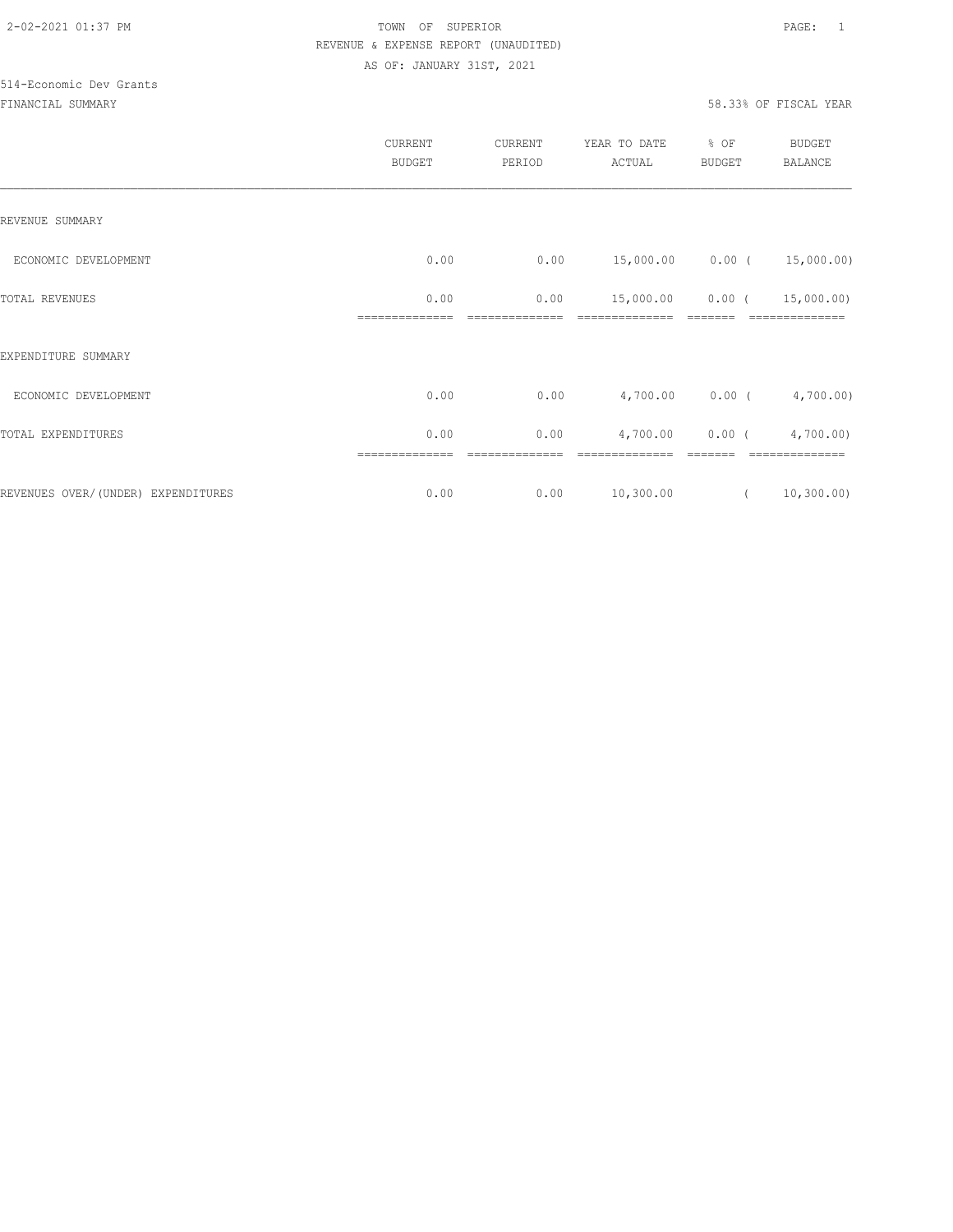# 514-Economic Dev Grants

|                                     | CURRENT<br><b>BUDGET</b> | CURRENT<br>PERIOD | YEAR TO DATE<br>ACTUAL | % OF<br>BUDGET  | <b>BUDGET</b><br><b>BALANCE</b> |
|-------------------------------------|--------------------------|-------------------|------------------------|-----------------|---------------------------------|
| REVENUE SUMMARY                     |                          |                   |                        |                 |                                 |
| ECONOMIC DEVELOPMENT                | 0.00                     | 0.00              |                        |                 | 15,000.00  0.00  ( 15,000.00)   |
| TOTAL REVENUES                      | 0.00                     | 0.00              | 15,000.00              | $0.00$ (        | 15,000.00)                      |
| EXPENDITURE SUMMARY                 |                          |                   |                        |                 |                                 |
| ECONOMIC DEVELOPMENT                | 0.00                     | 0.00              |                        | 4,700.00 0.00 ( | 4,700.00)                       |
| TOTAL EXPENDITURES                  | 0.00                     | 0.00              | 4,700.00               | $0.00$ (        | 4,700.00)                       |
| REVENUES OVER/ (UNDER) EXPENDITURES | ==============<br>0.00   | 0.00              | 10,300.00              | $\sqrt{2}$      | 10, 300.00)                     |
|                                     |                          |                   |                        |                 |                                 |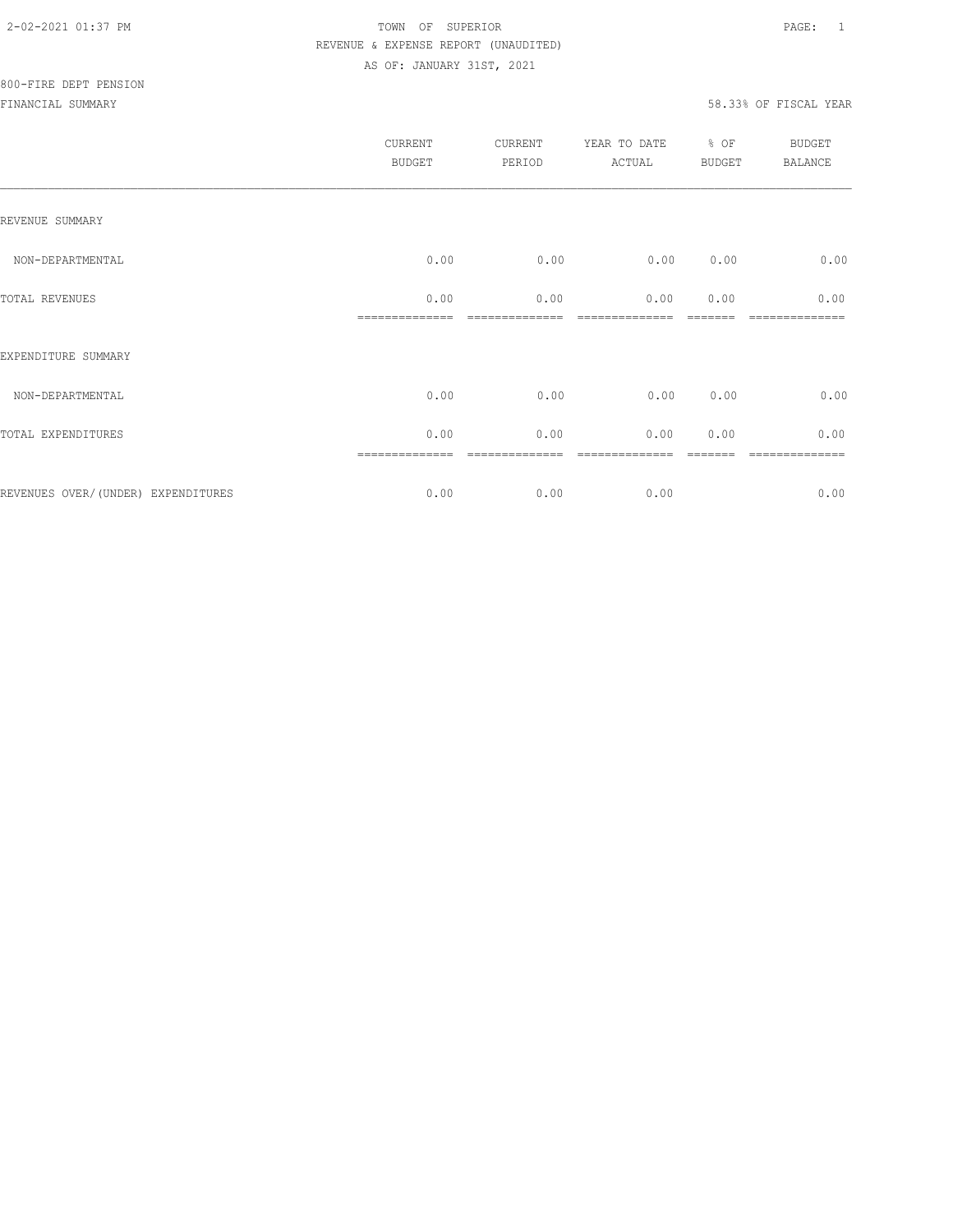|                                    | <b>CURRENT</b><br><b>BUDGET</b> | CURRENT<br>PERIOD | YEAR TO DATE<br>ACTUAL | % OF<br><b>BUDGET</b> | BUDGET<br><b>BALANCE</b> |
|------------------------------------|---------------------------------|-------------------|------------------------|-----------------------|--------------------------|
| REVENUE SUMMARY                    |                                 |                   |                        |                       |                          |
| NON-DEPARTMENTAL                   | 0.00                            | 0.00              | 0.00                   | 0.00                  | 0.00                     |
| TOTAL REVENUES                     | 0.00                            | 0.00              | 0.00                   | 0.00                  | 0.00<br>----             |
| EXPENDITURE SUMMARY                |                                 |                   |                        |                       |                          |
| NON-DEPARTMENTAL                   | 0.00                            | 0.00              | 0.00                   | 0.00                  | 0.00                     |
| TOTAL EXPENDITURES                 | 0.00                            | 0.00              | 0.00                   | 0.00                  | 0.00                     |
| REVENUES OVER/(UNDER) EXPENDITURES | 0.00                            | 0.00              | 0.00                   |                       | 0.00                     |
|                                    |                                 |                   |                        |                       |                          |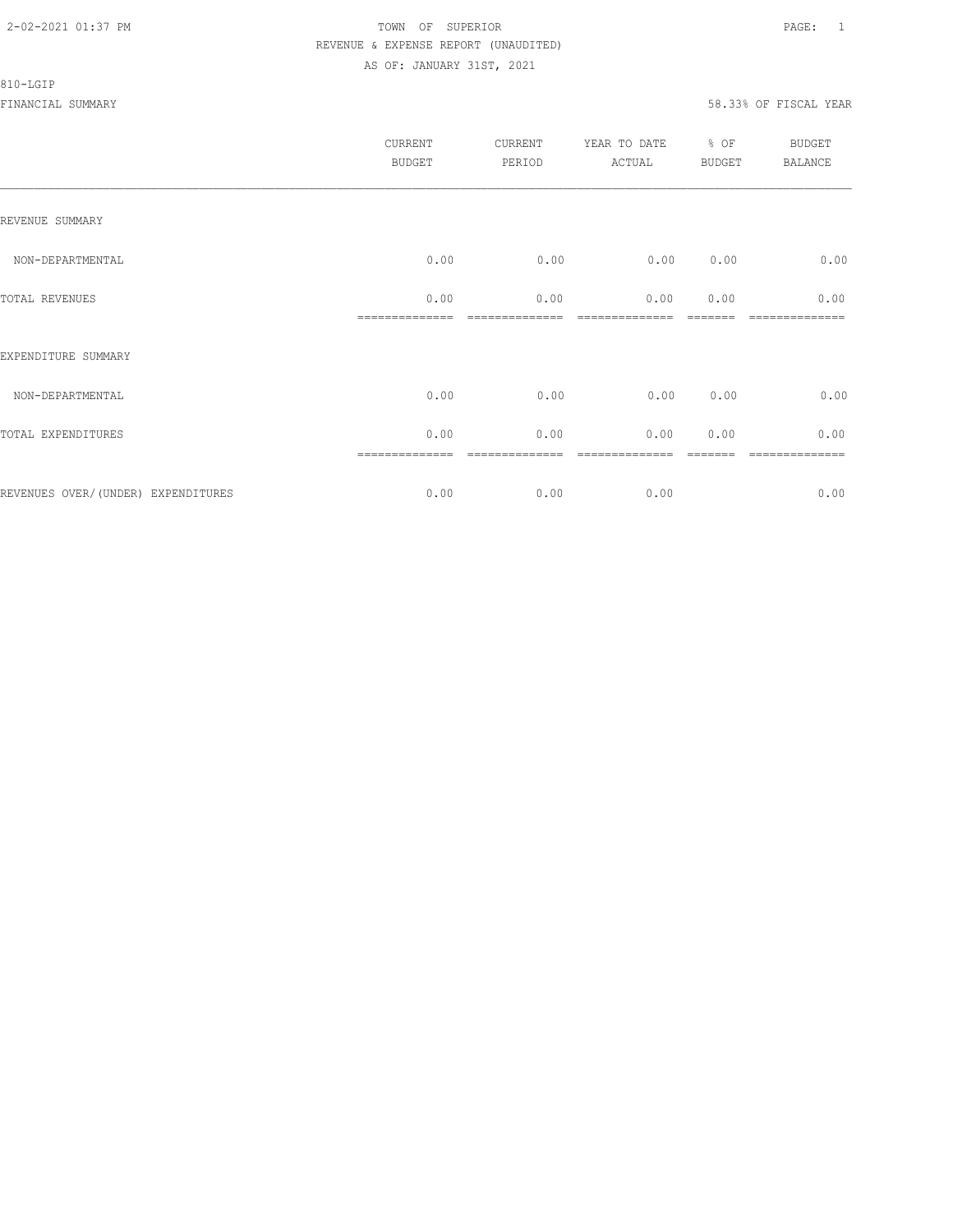#### 810-LGIP

| CURRENT<br><b>BUDGET</b> | CURRENT<br>PERIOD | YEAR TO DATE<br>ACTUAL | BUDGET | <b>BUDGET</b><br>BALANCE |
|--------------------------|-------------------|------------------------|--------|--------------------------|
|                          |                   |                        |        |                          |
| 0.00                     | 0.00              | 0.00                   | 0.00   | 0.00                     |
| 0.00                     | 0.00              | 0.00                   | 0.00   | 0.00                     |
|                          |                   |                        |        |                          |
| 0.00                     | 0.00              | 0.00                   | 0.00   | 0.00                     |
| 0.00                     | 0.00              | 0.00                   | 0.00   | 0.00                     |
| 0.00                     | 0.00              | 0.00                   |        | -----------<br>0.00      |
|                          | ==============    |                        |        | % OF                     |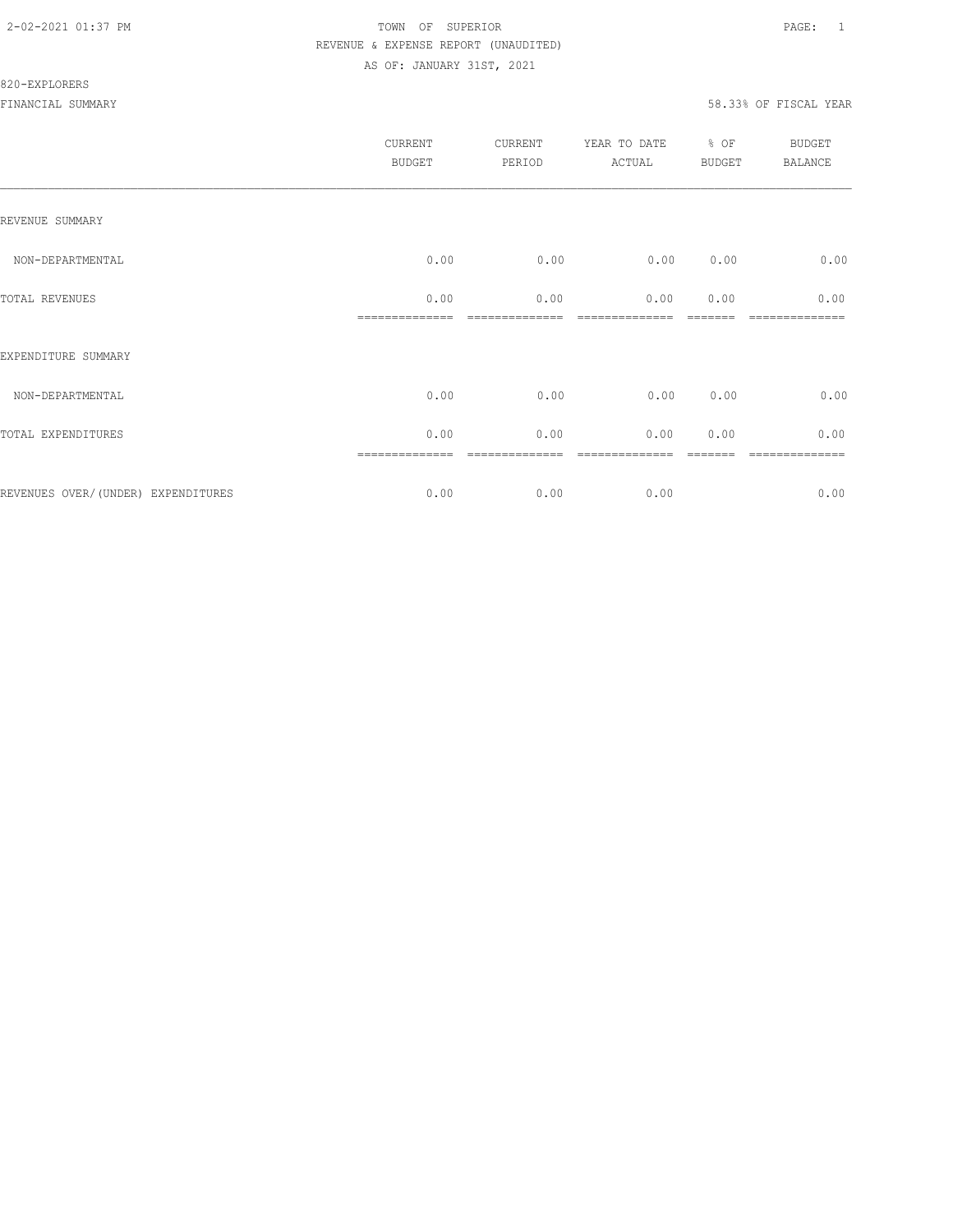#### 820-EXPLORERS

| <b>CURRENT</b><br><b>BUDGET</b> | CURRENT<br>PERIOD | YEAR TO DATE<br>ACTUAL | % OF | <b>BUDGET</b><br><b>BALANCE</b> |
|---------------------------------|-------------------|------------------------|------|---------------------------------|
|                                 |                   |                        |      |                                 |
| 0.00                            | 0.00              | 0.00                   | 0.00 | 0.00                            |
| 0.00                            | 0.00              | 0.00                   | 0.00 | 0.00                            |
|                                 |                   |                        |      |                                 |
| 0.00                            | 0.00              | 0.00                   | 0.00 | 0.00                            |
| 0.00                            | 0.00              | 0.00                   | 0.00 | 0.00                            |
| 0.00                            | 0.00              | 0.00                   |      | ========<br>0.00                |
|                                 |                   |                        |      | <b>BUDGET</b>                   |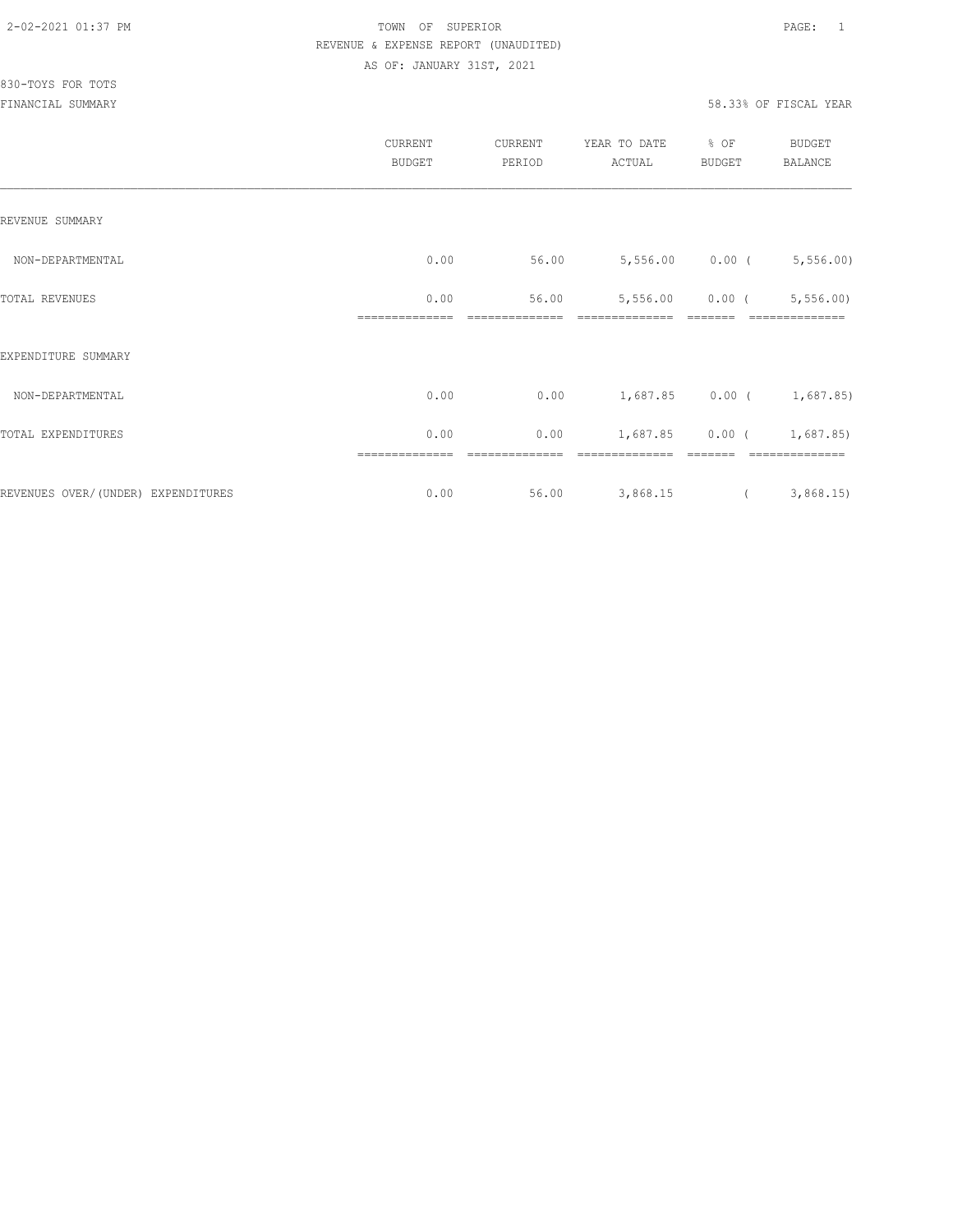# 830-TOYS FOR TOTS

|                                    | CURRENT<br><b>BUDGET</b> | CURRENT<br>PERIOD | YEAR TO DATE<br>ACTUAL | % OF<br><b>BUDGET</b> | <b>BUDGET</b><br>BALANCE    |
|------------------------------------|--------------------------|-------------------|------------------------|-----------------------|-----------------------------|
| REVENUE SUMMARY                    |                          |                   |                        |                       |                             |
| NON-DEPARTMENTAL                   | 0.00                     | 56.00             |                        | 5,556.00 0.00 (       | 5,556.00                    |
| <b>TOTAL REVENUES</b>              | 0.00<br>--------------   | 56.00             | 5,556.00               | $0.00$ (              | 5,556.00                    |
| EXPENDITURE SUMMARY                |                          |                   |                        |                       |                             |
| NON-DEPARTMENTAL                   | 0.00                     | 0.00              |                        |                       | $1,687.85$ 0.00 ( 1,687.85) |
| TOTAL EXPENDITURES                 | 0.00                     | 0.00              | 1,687.85               |                       | $0.00$ ( $1,687.85$ )       |
| REVENUES OVER/(UNDER) EXPENDITURES | 0.00                     | 56.00             | 3,868.15               | $\overline{a}$        | 3,868.15                    |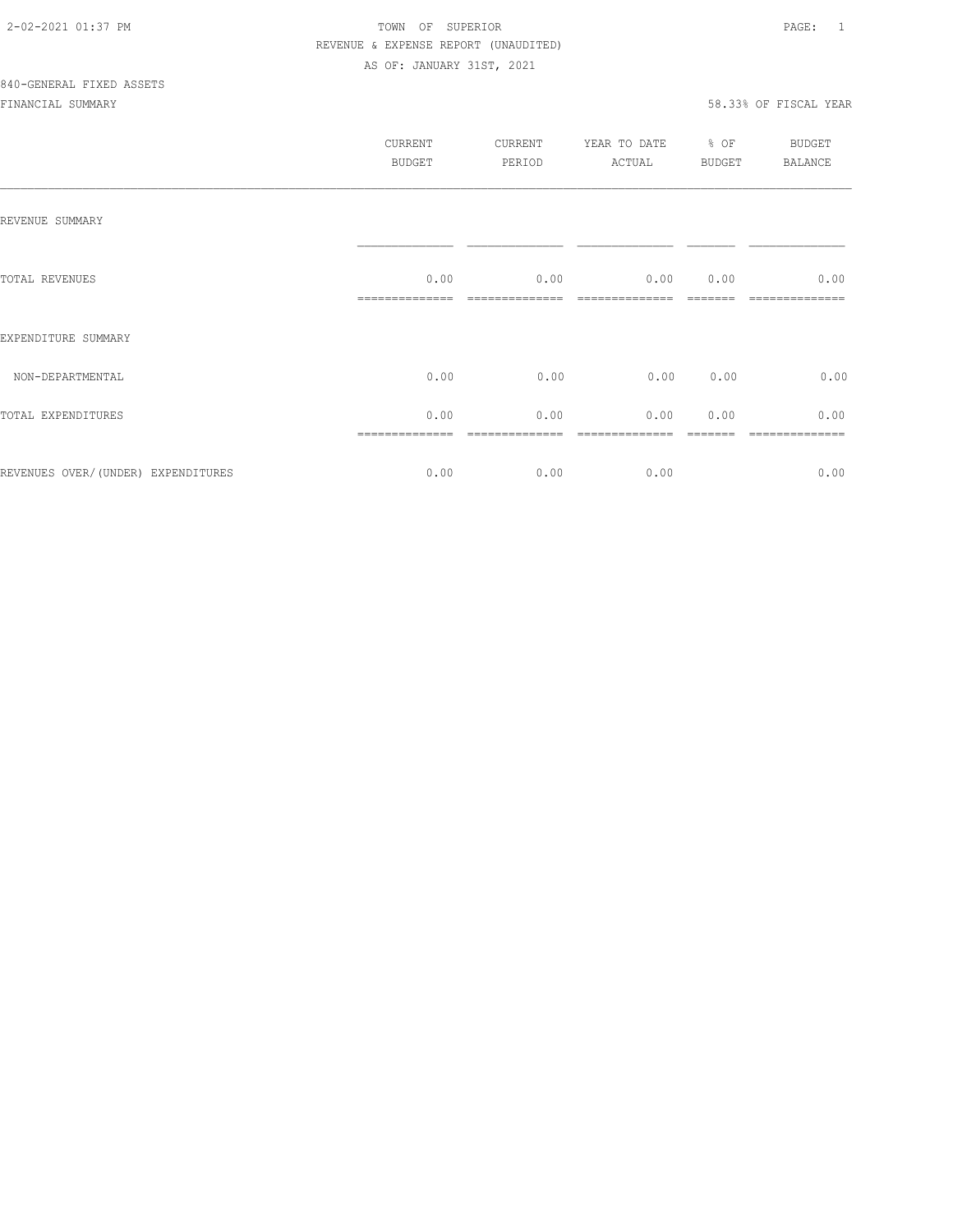|                                    | CURRENT<br><b>BUDGET</b> | CURRENT<br>PERIOD | YEAR TO DATE<br>ACTUAL | $\div$ OF<br>BUDGET | BUDGET<br><b>BALANCE</b> |
|------------------------------------|--------------------------|-------------------|------------------------|---------------------|--------------------------|
| REVENUE SUMMARY                    |                          |                   |                        |                     |                          |
| TOTAL REVENUES                     | 0.00                     | 0.00              | 0.00                   | 0.00                | 0.00                     |
| EXPENDITURE SUMMARY                |                          |                   |                        |                     |                          |
| NON-DEPARTMENTAL                   | 0.00                     | 0.00              | 0.00                   | 0.00                | 0.00                     |
| TOTAL EXPENDITURES                 | 0.00                     | 0.00              | 0.00                   | 0.00                | 0.00                     |
| REVENUES OVER/(UNDER) EXPENDITURES | 0.00                     | 0.00              | 0.00                   |                     | 0.00                     |